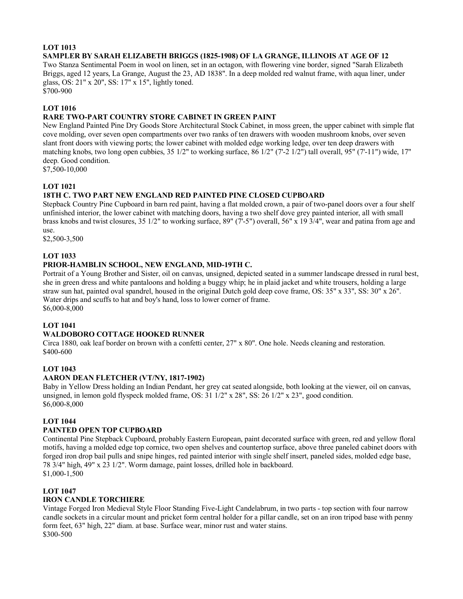#### **LOT 1013 SAMPLER BY SARAH ELIZABETH BRIGGS (1825-1908) OF LA GRANGE, ILLINOIS AT AGE OF 12**

Two Stanza Sentimental Poem in wool on linen, set in an octagon, with flowering vine border, signed "Sarah Elizabeth Briggs, aged 12 years, La Grange, August the 23, AD 1838". In a deep molded red walnut frame, with aqua liner, under glass, OS: 21" x 20", SS: 17" x 15", lightly toned.

\$700-900

# **LOT 1016**

# **RARE TWO-PART COUNTRY STORE CABINET IN GREEN PAINT**

New England Painted Pine Dry Goods Store Architectural Stock Cabinet, in moss green, the upper cabinet with simple flat cove molding, over seven open compartments over two ranks of ten drawers with wooden mushroom knobs, over seven slant front doors with viewing ports; the lower cabinet with molded edge working ledge, over ten deep drawers with matching knobs, two long open cubbies, 35 1/2" to working surface, 86 1/2" (7'-2 1/2") tall overall, 95" (7'-11") wide, 17" deep. Good condition.

\$7,500-10,000

# **LOT 1021**

# **18TH C. TWO PART NEW ENGLAND RED PAINTED PINE CLOSED CUPBOARD**

Stepback Country Pine Cupboard in barn red paint, having a flat molded crown, a pair of two-panel doors over a four shelf unfinished interior, the lower cabinet with matching doors, having a two shelf dove grey painted interior, all with small brass knobs and twist closures, 35 1/2" to working surface, 89" (7'-5") overall, 56" x 19 3/4", wear and patina from age and use.

\$2,500-3,500

# **LOT 1033**

# **PRIOR-HAMBLIN SCHOOL, NEW ENGLAND, MID-19TH C.**

Portrait of a Young Brother and Sister, oil on canvas, unsigned, depicted seated in a summer landscape dressed in rural best, she in green dress and white pantaloons and holding a buggy whip; he in plaid jacket and white trousers, holding a large straw sun hat, painted oval spandrel, housed in the original Dutch gold deep cove frame, OS: 35" x 33", SS: 30" x 26". Water drips and scuffs to hat and boy's hand, loss to lower corner of frame. \$6,000-8,000

# **LOT 1041**

# **WALDOBORO COTTAGE HOOKED RUNNER**

Circa 1880, oak leaf border on brown with a confetti center, 27" x 80". One hole. Needs cleaning and restoration. \$400-600

#### **LOT 1043**

#### **AARON DEAN FLETCHER (VT/NY, 1817-1902)**

Baby in Yellow Dress holding an Indian Pendant, her grey cat seated alongside, both looking at the viewer, oil on canvas, unsigned, in lemon gold flyspeck molded frame, OS: 31 1/2" x 28", SS: 26 1/2" x 23", good condition. \$6,000-8,000

#### **LOT 1044**

#### **PAINTED OPEN TOP CUPBOARD**

Continental Pine Stepback Cupboard, probably Eastern European, paint decorated surface with green, red and yellow floral motifs, having a molded edge top cornice, two open shelves and countertop surface, above three paneled cabinet doors with forged iron drop bail pulls and snipe hinges, red painted interior with single shelf insert, paneled sides, molded edge base, 78 3/4" high, 49" x 23 1/2". Worm damage, paint losses, drilled hole in backboard. \$1,000-1,500

#### **LOT 1047**

# **IRON CANDLE TORCHIERE**

Vintage Forged Iron Medieval Style Floor Standing Five-Light Candelabrum, in two parts - top section with four narrow candle sockets in a circular mount and pricket form central holder for a pillar candle, set on an iron tripod base with penny form feet, 63" high, 22" diam. at base. Surface wear, minor rust and water stains. \$300-500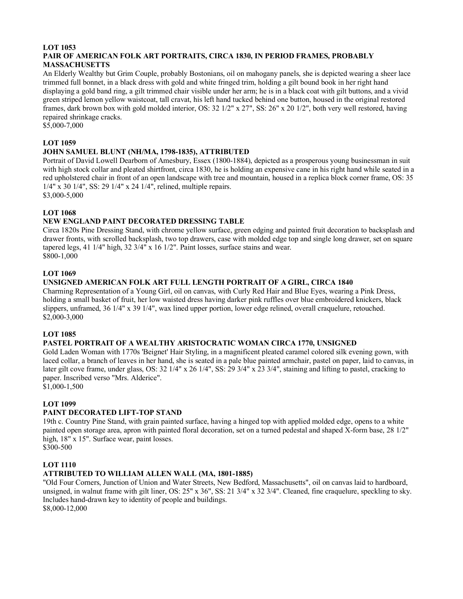#### **LOT 1053 PAIR OF AMERICAN FOLK ART PORTRAITS, CIRCA 1830, IN PERIOD FRAMES, PROBABLY MASSACHUSETTS**

An Elderly Wealthy but Grim Couple, probably Bostonians, oil on mahogany panels, she is depicted wearing a sheer lace trimmed full bonnet, in a black dress with gold and white fringed trim, holding a gilt bound book in her right hand displaying a gold band ring, a gilt trimmed chair visible under her arm; he is in a black coat with gilt buttons, and a vivid green striped lemon yellow waistcoat, tall cravat, his left hand tucked behind one button, housed in the original restored frames, dark brown box with gold molded interior, OS: 32 1/2" x 27", SS: 26" x 20 1/2", both very well restored, having repaired shrinkage cracks.

\$5,000-7,000

#### **LOT 1059**

#### **JOHN SAMUEL BLUNT (NH/MA, 1798-1835), ATTRIBUTED**

Portrait of David Lowell Dearborn of Amesbury, Essex (1800-1884), depicted as a prosperous young businessman in suit with high stock collar and pleated shirtfront, circa 1830, he is holding an expensive cane in his right hand while seated in a red upholstered chair in front of an open landscape with tree and mountain, housed in a replica block corner frame, OS: 35 1/4" x 30 1/4", SS: 29 1/4" x 24 1/4", relined, multiple repairs.

\$3,000-5,000

#### **LOT 1068**

#### **NEW ENGLAND PAINT DECORATED DRESSING TABLE**

Circa 1820s Pine Dressing Stand, with chrome yellow surface, green edging and painted fruit decoration to backsplash and drawer fronts, with scrolled backsplash, two top drawers, case with molded edge top and single long drawer, set on square tapered legs, 41 1/4" high, 32 3/4" x 16 1/2". Paint losses, surface stains and wear. \$800-1,000

#### **LOT 1069**

#### **UNSIGNED AMERICAN FOLK ART FULL LENGTH PORTRAIT OF A GIRL, CIRCA 1840**

Charming Representation of a Young Girl, oil on canvas, with Curly Red Hair and Blue Eyes, wearing a Pink Dress, holding a small basket of fruit, her low waisted dress having darker pink ruffles over blue embroidered knickers, black slippers, unframed, 36 1/4" x 39 1/4", wax lined upper portion, lower edge relined, overall craquelure, retouched. \$2,000-3,000

#### **LOT 1085**

#### **PASTEL PORTRAIT OF A WEALTHY ARISTOCRATIC WOMAN CIRCA 1770, UNSIGNED**

Gold Laden Woman with 1770s 'Beignet' Hair Styling, in a magnificent pleated caramel colored silk evening gown, with laced collar, a branch of leaves in her hand, she is seated in a pale blue painted armchair, pastel on paper, laid to canvas, in later gilt cove frame, under glass, OS: 32 1/4" x 26 1/4", SS: 29 3/4" x 23 3/4", staining and lifting to pastel, cracking to paper. Inscribed verso "Mrs. Alderice".

 $$1,000-1,500$ 

#### **LOT 1099**

#### **PAINT DECORATED LIFT-TOP STAND**

19th c. Country Pine Stand, with grain painted surface, having a hinged top with applied molded edge, opens to a white painted open storage area, apron with painted floral decoration, set on a turned pedestal and shaped X-form base, 28 1/2" high, 18" x 15". Surface wear, paint losses. \$300-500

#### **LOT 1110**

#### **ATTRIBUTED TO WILLIAM ALLEN WALL (MA, 1801-1885)**

"Old Four Corners, Junction of Union and Water Streets, New Bedford, Massachusetts", oil on canvas laid to hardboard, unsigned, in walnut frame with gilt liner, OS: 25" x 36", SS: 21 3/4" x 32 3/4". Cleaned, fine craquelure, speckling to sky. Includes hand-drawn key to identity of people and buildings. \$8,000-12,000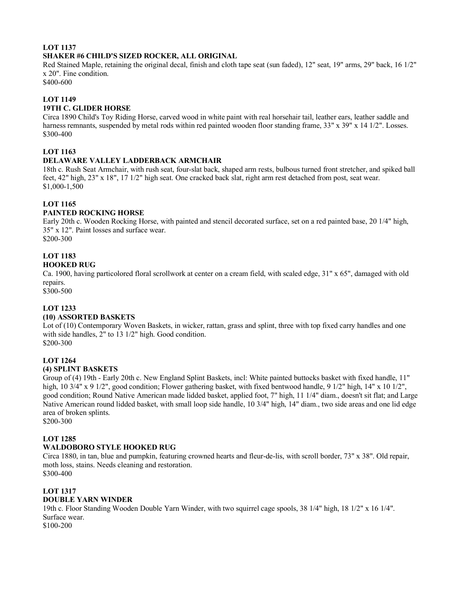# **LOT 1137 SHAKER #6 CHILD'S SIZED ROCKER, ALL ORIGINAL**

Red Stained Maple, retaining the original decal, finish and cloth tape seat (sun faded), 12" seat, 19" arms, 29" back, 16 1/2" x 20". Fine condition.

\$400-600

# **LOT 1149**

# **19TH C. GLIDER HORSE**

Circa 1890 Child's Toy Riding Horse, carved wood in white paint with real horsehair tail, leather ears, leather saddle and harness remnants, suspended by metal rods within red painted wooden floor standing frame, 33" x 39" x 14 1/2". Losses. \$300-400

### **LOT 1163**

#### **DELAWARE VALLEY LADDERBACK ARMCHAIR**

18th c. Rush Seat Armchair, with rush seat, four-slat back, shaped arm rests, bulbous turned front stretcher, and spiked ball feet, 42" high, 23" x 18", 17 1/2" high seat. One cracked back slat, right arm rest detached from post, seat wear. \$1,000-1,500

# **LOT 1165**

#### **PAINTED ROCKING HORSE**

Early 20th c. Wooden Rocking Horse, with painted and stencil decorated surface, set on a red painted base, 20 1/4" high, 35" x 12". Paint losses and surface wear. \$200-300

#### **LOT 1183 HOOKED RUG**

Ca. 1900, having particolored floral scrollwork at center on a cream field, with scaled edge, 31" x 65", damaged with old repairs.

\$300-500

# **LOT 1233**

#### **(10) ASSORTED BASKETS**

Lot of (10) Contemporary Woven Baskets, in wicker, rattan, grass and splint, three with top fixed carry handles and one with side handles, 2" to 13 1/2" high. Good condition. \$200-300

#### **LOT 1264 (4) SPLINT BASKETS**

Group of (4) 19th - Early 20th c. New England Splint Baskets, incl: White painted buttocks basket with fixed handle, 11" high, 10 3/4" x 9 1/2", good condition; Flower gathering basket, with fixed bentwood handle, 9 1/2" high, 14" x 10 1/2", good condition; Round Native American made lidded basket, applied foot, 7" high, 11 1/4" diam., doesn't sit flat; and Large Native American round lidded basket, with small loop side handle, 10 3/4" high, 14" diam., two side areas and one lid edge area of broken splints.

\$200-300

# **LOT 1285**

# **WALDOBORO STYLE HOOKED RUG**

Circa 1880, in tan, blue and pumpkin, featuring crowned hearts and fleur-de-lis, with scroll border, 73" x 38". Old repair, moth loss, stains. Needs cleaning and restoration. \$300-400

#### **LOT 1317**

#### **DOUBLE YARN WINDER**

19th c. Floor Standing Wooden Double Yarn Winder, with two squirrel cage spools, 38 1/4" high, 18 1/2" x 16 1/4". Surface wear.

\$100-200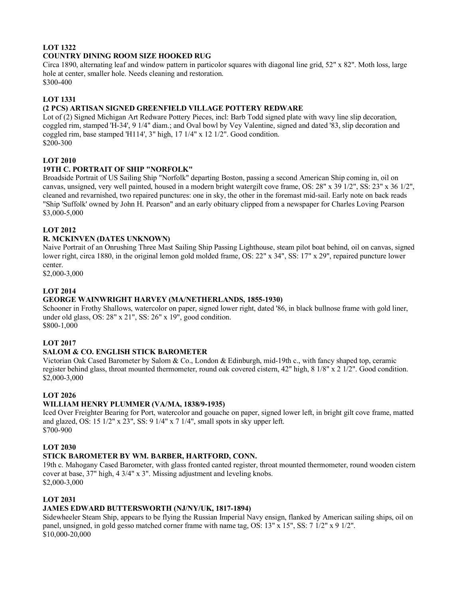# **LOT 1322 COUNTRY DINING ROOM SIZE HOOKED RUG**

Circa 1890, alternating leaf and window pattern in particolor squares with diagonal line grid, 52" x 82". Moth loss, large hole at center, smaller hole. Needs cleaning and restoration.

\$300-400

# **LOT 1331**

# **(2 PCS) ARTISAN SIGNED GREENFIELD VILLAGE POTTERY REDWARE**

Lot of (2) Signed Michigan Art Redware Pottery Pieces, incl: Barb Todd signed plate with wavy line slip decoration, coggled rim, stamped 'H-34', 9 1/4" diam.; and Oval bowl by Vey Valentine, signed and dated '83, slip decoration and coggled rim, base stamped 'H114', 3" high, 17 1/4" x 12 1/2". Good condition. \$200-300

# **LOT 2010**

# **19TH C. PORTRAIT OF SHIP "NORFOLK"**

Broadside Portrait of US Sailing Ship "Norfolk" departing Boston, passing a second American Ship coming in, oil on canvas, unsigned, very well painted, housed in a modern bright watergilt cove frame, OS: 28" x 39 1/2", SS: 23" x 36 1/2", cleaned and revarnished, two repaired punctures: one in sky, the other in the foremast mid-sail. Early note on back reads "Ship 'Suffolk' owned by John H. Pearson" and an early obituary clipped from a newspaper for Charles Loving Pearson \$3,000-5,000

#### **LOT 2012**

#### **R. MCKINVEN (DATES UNKNOWN)**

Naive Portrait of an Onrushing Three Mast Sailing Ship Passing Lighthouse, steam pilot boat behind, oil on canvas, signed lower right, circa 1880, in the original lemon gold molded frame, OS: 22" x 34", SS: 17" x 29", repaired puncture lower center.

\$2,000-3,000

#### **LOT 2014**

#### **GEORGE WAINWRIGHT HARVEY (MA/NETHERLANDS, 1855-1930)**

Schooner in Frothy Shallows, watercolor on paper, signed lower right, dated '86, in black bullnose frame with gold liner, under old glass, OS: 28" x 21", SS: 26" x 19", good condition. \$800-1,000

#### **LOT 2017**

# **SALOM & CO. ENGLISH STICK BAROMETER**

Victorian Oak Cased Barometer by Salom & Co., London & Edinburgh, mid-19th c., with fancy shaped top, ceramic register behind glass, throat mounted thermometer, round oak covered cistern, 42" high, 8 1/8" x 2 1/2". Good condition. \$2,000-3,000

#### **LOT 2026**

#### **WILLIAM HENRY PLUMMER (VA/MA, 1838/9-1935)**

Iced Over Freighter Bearing for Port, watercolor and gouache on paper, signed lower left, in bright gilt cove frame, matted and glazed, OS: 15  $1/2$ " x 23", SS: 9  $1/4$ " x 7  $1/4$ ", small spots in sky upper left. \$700-900

#### **LOT 2030**

#### **STICK BAROMETER BY WM. BARBER, HARTFORD, CONN.**

19th c. Mahogany Cased Barometer, with glass fronted canted register, throat mounted thermometer, round wooden cistern cover at base, 37" high, 4 3/4" x 3". Missing adjustment and leveling knobs. \$2,000-3,000

#### **LOT 2031**

#### **JAMES EDWARD BUTTERSWORTH (NJ/NY/UK, 1817-1894)**

Sidewheeler Steam Ship, appears to be flying the Russian Imperial Navy ensign, flanked by American sailing ships, oil on panel, unsigned, in gold gesso matched corner frame with name tag, OS: 13" x 15", SS: 7 1/2" x 9 1/2". \$10,000-20,000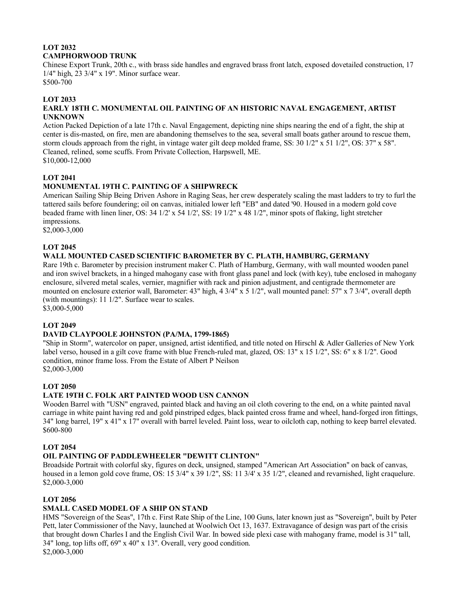# **LOT 2032 CAMPHORWOOD TRUNK**

Chinese Export Trunk, 20th c., with brass side handles and engraved brass front latch, exposed dovetailed construction, 17 1/4" high, 23 3/4" x 19". Minor surface wear. \$500-700

#### **LOT 2033**

#### **EARLY 18TH C. MONUMENTAL OIL PAINTING OF AN HISTORIC NAVAL ENGAGEMENT, ARTIST UNKNOWN**

Action Packed Depiction of a late 17th c. Naval Engagement, depicting nine ships nearing the end of a fight, the ship at center is dis-masted, on fire, men are abandoning themselves to the sea, several small boats gather around to rescue them, storm clouds approach from the right, in vintage water gilt deep molded frame, SS: 30 1/2" x 51 1/2", OS: 37" x 58". Cleaned, relined, some scuffs. From Private Collection, Harpswell, ME. \$10,000-12,000

#### **LOT 2041**

# **MONUMENTAL 19TH C. PAINTING OF A SHIPWRECK**

American Sailing Ship Being Driven Ashore in Raging Seas, her crew desperately scaling the mast ladders to try to furl the tattered sails before foundering; oil on canvas, initialed lower left "EB" and dated '90. Housed in a modern gold cove beaded frame with linen liner, OS: 34 1/2' x 54 1/2', SS: 19 1/2" x 48 1/2", minor spots of flaking, light stretcher impressions.

\$2,000-3,000

#### **LOT 2045**

# **WALL MOUNTED CASED SCIENTIFIC BAROMETER BY C. PLATH, HAMBURG, GERMANY**

Rare 19th c. Barometer by precision instrument maker C. Plath of Hamburg, Germany, with wall mounted wooden panel and iron swivel brackets, in a hinged mahogany case with front glass panel and lock (with key), tube enclosed in mahogany enclosure, silvered metal scales, vernier, magnifier with rack and pinion adjustment, and centigrade thermometer are mounted on enclosure exterior wall, Barometer: 43" high, 4 3/4" x 5 1/2", wall mounted panel: 57" x 7 3/4", overall depth (with mountings): 11 1/2". Surface wear to scales.

\$3,000-5,000

# **LOT 2049**

#### **DAVID CLAYPOOLE JOHNSTON (PA/MA, 1799-1865)**

"Ship in Storm", watercolor on paper, unsigned, artist identified, and title noted on Hirschl & Adler Galleries of New York label verso, housed in a gilt cove frame with blue French-ruled mat, glazed, OS: 13" x 15 1/2", SS: 6" x 8 1/2". Good condition, minor frame loss. From the Estate of Albert P Neilson \$2,000-3,000

#### **LOT 2050**

#### **LATE 19TH C. FOLK ART PAINTED WOOD USN CANNON**

Wooden Barrel with "USN" engraved, painted black and having an oil cloth covering to the end, on a white painted naval carriage in white paint having red and gold pinstriped edges, black painted cross frame and wheel, hand-forged iron fittings, 34" long barrel, 19" x 41" x 17" overall with barrel leveled. Paint loss, wear to oilcloth cap, nothing to keep barrel elevated. \$600-800

#### **LOT 2054**

#### **OIL PAINTING OF PADDLEWHEELER "DEWITT CLINTON"**

Broadside Portrait with colorful sky, figures on deck, unsigned, stamped "American Art Association" on back of canvas, housed in a lemon gold cove frame, OS: 15 3/4" x 39 1/2", SS: 11 3/4' x 35 1/2", cleaned and revarnished, light craquelure. \$2,000-3,000

#### **LOT 2056**

#### **SMALL CASED MODEL OF A SHIP ON STAND**

HMS "Sovereign of the Seas", 17th c. First Rate Ship of the Line, 100 Guns, later known just as "Sovereign", built by Peter Pett, later Commissioner of the Navy, launched at Woolwich Oct 13, 1637. Extravagance of design was part of the crisis that brought down Charles I and the English Civil War. In bowed side plexi case with mahogany frame, model is 31" tall, 34" long, top lifts off, 69" x 40" x 13". Overall, very good condition. \$2,000-3,000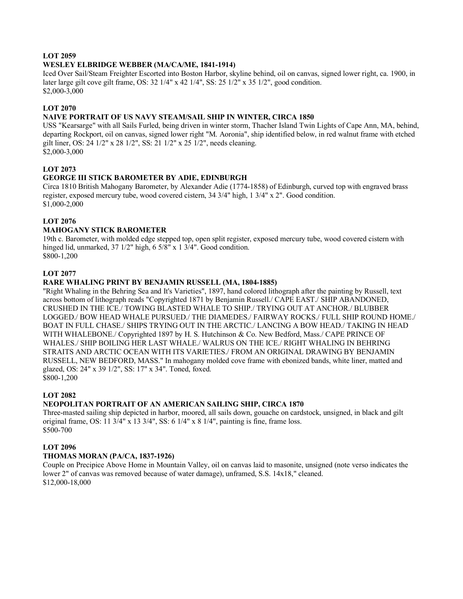#### **LOT 2059**

#### **WESLEY ELBRIDGE WEBBER (MA/CA/ME, 1841-1914)**

Iced Over Sail/Steam Freighter Escorted into Boston Harbor, skyline behind, oil on canvas, signed lower right, ca. 1900, in later large gilt cove gilt frame, OS: 32 1/4" x 42 1/4", SS: 25 1/2" x 35 1/2", good condition. \$2,000-3,000

#### **LOT 2070**

#### **NAIVE PORTRAIT OF US NAVY STEAM/SAIL SHIP IN WINTER, CIRCA 1850**

USS "Kearsarge" with all Sails Furled, being driven in winter storm, Thacher Island Twin Lights of Cape Ann, MA, behind, departing Rockport, oil on canvas, signed lower right "M. Aoronia", ship identified below, in red walnut frame with etched gilt liner, OS: 24 1/2" x 28 1/2", SS: 21 1/2" x 25 1/2", needs cleaning. \$2,000-3,000

#### **LOT 2073**

#### **GEORGE III STICK BAROMETER BY ADIE, EDINBURGH**

Circa 1810 British Mahogany Barometer, by Alexander Adie (1774-1858) of Edinburgh, curved top with engraved brass register, exposed mercury tube, wood covered cistern, 34 3/4" high, 1 3/4" x 2". Good condition. \$1,000-2,000

#### **LOT 2076**

#### **MAHOGANY STICK BAROMETER**

19th c. Barometer, with molded edge stepped top, open split register, exposed mercury tube, wood covered cistern with hinged lid, unmarked, 37 1/2" high, 6 5/8" x 1 3/4". Good condition. \$800-1,200

#### **LOT 2077**

#### **RARE WHALING PRINT BY BENJAMIN RUSSELL (MA, 1804-1885)**

"Right Whaling in the Behring Sea and It's Varieties", 1897, hand colored lithograph after the painting by Russell, text across bottom of lithograph reads "Copyrighted 1871 by Benjamin Russell./ CAPE EAST./ SHIP ABANDONED, CRUSHED IN THE ICE./ TOWING BLASTED WHALE TO SHIP./ TRYING OUT AT ANCHOR./ BLUBBER LOGGED./ BOW HEAD WHALE PURSUED./ THE DIAMEDES./ FAIRWAY ROCKS./ FULL SHIP ROUND HOME./ BOAT IN FULL CHASE./ SHIPS TRYING OUT IN THE ARCTIC./ LANCING A BOW HEAD./ TAKING IN HEAD WITH WHALEBONE./ Copyrighted 1897 by H. S. Hutchinson & Co. New Bedford, Mass./ CAPE PRINCE OF WHALES./ SHIP BOILING HER LAST WHALE./ WALRUS ON THE ICE./ RIGHT WHALING IN BEHRING STRAITS AND ARCTIC OCEAN WITH ITS VARIETIES./ FROM AN ORIGINAL DRAWING BY BENJAMIN RUSSELL, NEW BEDFORD, MASS." In mahogany molded cove frame with ebonized bands, white liner, matted and glazed, OS: 24" x 39 1/2", SS: 17" x 34". Toned, foxed. \$800-1,200

#### **LOT 2082**

#### **NEOPOLITAN PORTRAIT OF AN AMERICAN SAILING SHIP, CIRCA 1870**

Three-masted sailing ship depicted in harbor, moored, all sails down, gouache on cardstock, unsigned, in black and gilt original frame, OS: 11 3/4" x 13 3/4", SS:  $6$  1/4" x  $8$  1/4", painting is fine, frame loss. \$500-700

#### **LOT 2096**

#### **THOMAS MORAN (PA/CA, 1837-1926)**

Couple on Precipice Above Home in Mountain Valley, oil on canvas laid to masonite, unsigned (note verso indicates the lower 2" of canvas was removed because of water damage), unframed, S.S. 14x18," cleaned. \$12,000-18,000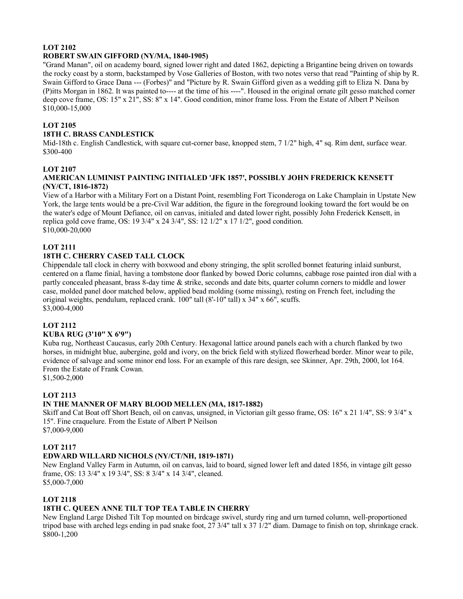#### **LOT 2102 ROBERT SWAIN GIFFORD (NY/MA, 1840-1905)**

"Grand Manan", oil on academy board, signed lower right and dated 1862, depicting a Brigantine being driven on towards the rocky coast by a storm, backstamped by Vose Galleries of Boston, with two notes verso that read "Painting of ship by R. Swain Gifford to Grace Dana --- (Forbes)" and "Picture by R. Swain Gifford given as a wedding gift to Eliza N. Dana by (P)itts Morgan in 1862. It was painted to---- at the time of his ----". Housed in the original ornate gilt gesso matched corner deep cove frame, OS: 15" x 21", SS: 8" x 14". Good condition, minor frame loss. From the Estate of Albert P Neilson \$10,000-15,000

# **LOT 2105**

# **18TH C. BRASS CANDLESTICK**

Mid-18th c. English Candlestick, with square cut-corner base, knopped stem, 7 1/2" high, 4" sq. Rim dent, surface wear. \$300-400

# **LOT 2107**

#### **AMERICAN LUMINIST PAINTING INITIALED 'JFK 1857', POSSIBLY JOHN FREDERICK KENSETT (NY/CT, 1816-1872)**

View of a Harbor with a Military Fort on a Distant Point, resembling Fort Ticonderoga on Lake Champlain in Upstate New York, the large tents would be a pre-Civil War addition, the figure in the foreground looking toward the fort would be on the water's edge of Mount Defiance, oil on canvas, initialed and dated lower right, possibly John Frederick Kensett, in replica gold cove frame, OS: 19 3/4" x 24 3/4", SS: 12 1/2" x 17 1/2", good condition. \$10,000-20,000

# **LOT 2111**

# **18TH C. CHERRY CASED TALL CLOCK**

Chippendale tall clock in cherry with boxwood and ebony stringing, the split scrolled bonnet featuring inlaid sunburst, centered on a flame finial, having a tombstone door flanked by bowed Doric columns, cabbage rose painted iron dial with a partly concealed pheasant, brass 8-day time & strike, seconds and date bits, quarter column corners to middle and lower case, molded panel door matched below, applied bead molding (some missing), resting on French feet, including the original weights, pendulum, replaced crank. 100" tall (8'-10" tall) x 34" x 66", scuffs. \$3,000-4,000

# **LOT 2112**

# **KUBA RUG (3'10" X 6'9")**

Kuba rug, Northeast Caucasus, early 20th Century. Hexagonal lattice around panels each with a church flanked by two horses, in midnight blue, aubergine, gold and ivory, on the brick field with stylized flowerhead border. Minor wear to pile, evidence of salvage and some minor end loss. For an example of this rare design, see Skinner, Apr. 29th, 2000, lot 164. From the Estate of Frank Cowan.

\$1,500-2,000

# **LOT 2113**

# **IN THE MANNER OF MARY BLOOD MELLEN (MA, 1817-1882)**

Skiff and Cat Boat off Short Beach, oil on canvas, unsigned, in Victorian gilt gesso frame, OS: 16" x 21 1/4", SS: 9 3/4" x 15". Fine craquelure. From the Estate of Albert P Neilson \$7,000-9,000

# **LOT 2117**

#### **EDWARD WILLARD NICHOLS (NY/CT/NH, 1819-1871)**

New England Valley Farm in Autumn, oil on canvas, laid to board, signed lower left and dated 1856, in vintage gilt gesso frame, OS: 13 3/4" x 19 3/4", SS: 8 3/4" x 14 3/4", cleaned. \$5,000-7,000

# **LOT 2118**

# **18TH C. QUEEN ANNE TILT TOP TEA TABLE IN CHERRY**

New England Large Dished Tilt Top mounted on birdcage swivel, sturdy ring and urn turned column, well-proportioned tripod base with arched legs ending in pad snake foot, 27 3/4" tall x 37 1/2" diam. Damage to finish on top, shrinkage crack. \$800-1,200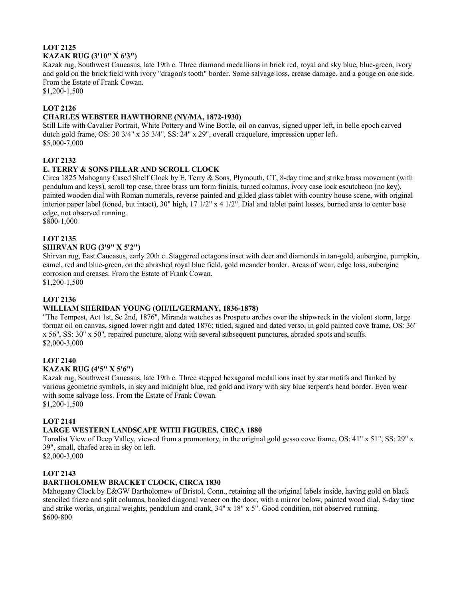#### **LOT 2125 KAZAK RUG (3'10" X 6'3")**

Kazak rug, Southwest Caucasus, late 19th c. Three diamond medallions in brick red, royal and sky blue, blue-green, ivory and gold on the brick field with ivory "dragon's tooth" border. Some salvage loss, crease damage, and a gouge on one side. From the Estate of Frank Cowan.

\$1,200-1,500

# **LOT 2126**

# **CHARLES WEBSTER HAWTHORNE (NY/MA, 1872-1930)**

Still Life with Cavalier Portrait, White Pottery and Wine Bottle, oil on canvas, signed upper left, in belle epoch carved dutch gold frame, OS: 30 3/4" x 35 3/4", SS: 24" x 29", overall craquelure, impression upper left. \$5,000-7,000

# **LOT 2132**

# **E. TERRY & SONS PILLAR AND SCROLL CLOCK**

Circa 1825 Mahogany Cased Shelf Clock by E. Terry & Sons, Plymouth, CT, 8-day time and strike brass movement (with pendulum and keys), scroll top case, three brass urn form finials, turned columns, ivory case lock escutcheon (no key), painted wooden dial with Roman numerals, reverse painted and gilded glass tablet with country house scene, with original interior paper label (toned, but intact), 30" high, 17 1/2" x 4 1/2". Dial and tablet paint losses, burned area to center base edge, not observed running.

\$800-1,000

# **LOT 2135**

#### **SHIRVAN RUG (3'9" X 5'2")**

Shirvan rug, East Caucasus, early 20th c. Staggered octagons inset with deer and diamonds in tan-gold, aubergine, pumpkin, camel, red and blue-green, on the abrashed royal blue field, gold meander border. Areas of wear, edge loss, aubergine corrosion and creases. From the Estate of Frank Cowan. \$1,200-1,500

# **LOT 2136**

#### **WILLIAM SHERIDAN YOUNG (OH/IL/GERMANY, 1836-1878)**

"The Tempest, Act 1st, Sc 2nd, 1876", Miranda watches as Prospero arches over the shipwreck in the violent storm, large format oil on canvas, signed lower right and dated 1876; titled, signed and dated verso, in gold painted cove frame, OS: 36" x 56", SS: 30" x 50", repaired puncture, along with several subsequent punctures, abraded spots and scuffs. \$2,000-3,000

# **LOT 2140**

#### **KAZAK RUG (4'5" X 5'6")**

Kazak rug, Southwest Caucasus, late 19th c. Three stepped hexagonal medallions inset by star motifs and flanked by various geometric symbols, in sky and midnight blue, red gold and ivory with sky blue serpent's head border. Even wear with some salvage loss. From the Estate of Frank Cowan.

\$1,200-1,500

#### **LOT 2141**

#### **LARGE WESTERN LANDSCAPE WITH FIGURES, CIRCA 1880**

Tonalist View of Deep Valley, viewed from a promontory, in the original gold gesso cove frame, OS: 41" x 51", SS: 29" x 39", small, chafed area in sky on left.

\$2,000-3,000

# **LOT 2143**

# **BARTHOLOMEW BRACKET CLOCK, CIRCA 1830**

Mahogany Clock by E&GW Bartholomew of Bristol, Conn., retaining all the original labels inside, having gold on black stenciled frieze and split columns, booked diagonal veneer on the door, with a mirror below, painted wood dial, 8-day time and strike works, original weights, pendulum and crank, 34" x 18" x 5". Good condition, not observed running. \$600-800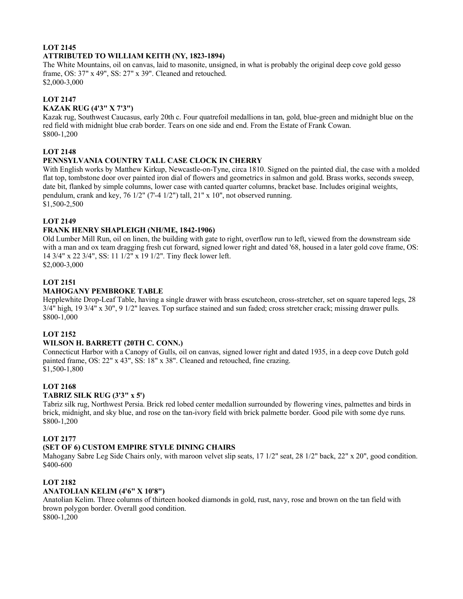# **LOT 2145 ATTRIBUTED TO WILLIAM KEITH (NY, 1823-1894)**

The White Mountains, oil on canvas, laid to masonite, unsigned, in what is probably the original deep cove gold gesso frame, OS: 37" x 49", SS: 27" x 39". Cleaned and retouched. \$2,000-3,000

# **LOT 2147**

#### **KAZAK RUG (4'3" X 7'3")**

Kazak rug, Southwest Caucasus, early 20th c. Four quatrefoil medallions in tan, gold, blue-green and midnight blue on the red field with midnight blue crab border. Tears on one side and end. From the Estate of Frank Cowan. \$800-1,200

#### **LOT 2148**

# **PENNSYLVANIA COUNTRY TALL CASE CLOCK IN CHERRY**

With English works by Matthew Kirkup, Newcastle-on-Tyne, circa 1810. Signed on the painted dial, the case with a molded flat top, tombstone door over painted iron dial of flowers and geometrics in salmon and gold. Brass works, seconds sweep, date bit, flanked by simple columns, lower case with canted quarter columns, bracket base. Includes original weights, pendulum, crank and key, 76 1/2" (7'-4 1/2") tall, 21" x 10", not observed running. \$1,500-2,500

#### **LOT 2149**

#### **FRANK HENRY SHAPLEIGH (NH/ME, 1842-1906)**

Old Lumber Mill Run, oil on linen, the building with gate to right, overflow run to left, viewed from the downstream side with a man and ox team dragging fresh cut forward, signed lower right and dated '68, housed in a later gold cove frame, OS: 14 3/4" x 22 3/4", SS: 11 1/2" x 19 1/2". Tiny fleck lower left. \$2,000-3,000

# **LOT 2151**

#### **MAHOGANY PEMBROKE TABLE**

Hepplewhite Drop-Leaf Table, having a single drawer with brass escutcheon, cross-stretcher, set on square tapered legs, 28 3/4" high, 19 3/4" x 30", 9 1/2" leaves. Top surface stained and sun faded; cross stretcher crack; missing drawer pulls. \$800-1,000

#### **LOT 2152**

#### **WILSON H. BARRETT (20TH C. CONN.)**

Connecticut Harbor with a Canopy of Gulls, oil on canvas, signed lower right and dated 1935, in a deep cove Dutch gold painted frame, OS: 22" x 43", SS: 18" x 38". Cleaned and retouched, fine crazing. \$1,500-1,800

#### **LOT 2168**

#### **TABRIZ SILK RUG (3'3" x 5')**

Tabriz silk rug, Northwest Persia. Brick red lobed center medallion surrounded by flowering vines, palmettes and birds in brick, midnight, and sky blue, and rose on the tan-ivory field with brick palmette border. Good pile with some dye runs. \$800-1,200

#### **LOT 2177**

#### **(SET OF 6) CUSTOM EMPIRE STYLE DINING CHAIRS**

Mahogany Sabre Leg Side Chairs only, with maroon velvet slip seats, 17 1/2" seat, 28 1/2" back, 22" x 20", good condition. \$400-600

#### **LOT 2182**

#### **ANATOLIAN KELIM (4'6" X 10'8")**

Anatolian Kelim. Three columns of thirteen hooked diamonds in gold, rust, navy, rose and brown on the tan field with brown polygon border. Overall good condition. \$800-1,200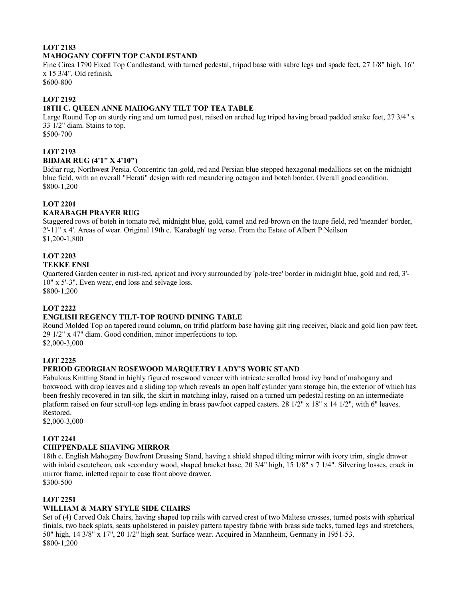# **LOT 2183 MAHOGANY COFFIN TOP CANDLESTAND**

Fine Circa 1790 Fixed Top Candlestand, with turned pedestal, tripod base with sabre legs and spade feet, 27 1/8" high, 16" x 15 3/4". Old refinish.

\$600-800

# **LOT 2192**

# **18TH C. QUEEN ANNE MAHOGANY TILT TOP TEA TABLE**

Large Round Top on sturdy ring and urn turned post, raised on arched leg tripod having broad padded snake feet, 27 3/4" x 33 1/2" diam. Stains to top. \$500-700

# **LOT 2193**

#### **BIDJAR RUG (4'1" X 4'10")**

Bidjar rug, Northwest Persia. Concentric tan-gold, red and Persian blue stepped hexagonal medallions set on the midnight blue field, with an overall "Herati" design with red meandering octagon and boteh border. Overall good condition. \$800-1,200

# **LOT 2201**

#### **KARABAGH PRAYER RUG**

Staggered rows of boteh in tomato red, midnight blue, gold, camel and red-brown on the taupe field, red 'meander' border, 2'-11" x 4'. Areas of wear. Original 19th c. 'Karabagh' tag verso. From the Estate of Albert P Neilson \$1,200-1,800

#### **LOT 2203 TEKKE ENSI**

Quartered Garden center in rust-red, apricot and ivory surrounded by 'pole-tree' border in midnight blue, gold and red, 3'- 10" x 5'-3". Even wear, end loss and selvage loss.

\$800-1,200

#### **LOT 2222**

#### **ENGLISH REGENCY TILT-TOP ROUND DINING TABLE**

Round Molded Top on tapered round column, on trifid platform base having gilt ring receiver, black and gold lion paw feet, 29 1/2" x 47" diam. Good condition, minor imperfections to top. \$2,000-3,000

# **LOT 2225**

#### **PERIOD GEORGIAN ROSEWOOD MARQUETRY LADY'S WORK STAND**

Fabulous Knitting Stand in highly figured rosewood veneer with intricate scrolled broad ivy band of mahogany and boxwood, with drop leaves and a sliding top which reveals an open half cylinder yarn storage bin, the exterior of which has been freshly recovered in tan silk, the skirt in matching inlay, raised on a turned urn pedestal resting on an intermediate platform raised on four scroll-top legs ending in brass pawfoot capped casters. 28 1/2" x 18" x 14 1/2", with 6" leaves. Restored.

\$2,000-3,000

#### **LOT 2241**

#### **CHIPPENDALE SHAVING MIRROR**

18th c. English Mahogany Bowfront Dressing Stand, having a shield shaped tilting mirror with ivory trim, single drawer with inlaid escutcheon, oak secondary wood, shaped bracket base, 20 3/4" high, 15 1/8" x 7 1/4". Silvering losses, crack in mirror frame, inletted repair to case front above drawer. \$300-500

# **LOT 2251**

# **WILLIAM & MARY STYLE SIDE CHAIRS**

Set of (4) Carved Oak Chairs, having shaped top rails with carved crest of two Maltese crosses, turned posts with spherical finials, two back splats, seats upholstered in paisley pattern tapestry fabric with brass side tacks, turned legs and stretchers, 50" high, 14 3/8" x 17", 20 1/2" high seat. Surface wear. Acquired in Mannheim, Germany in 1951-53. \$800-1,200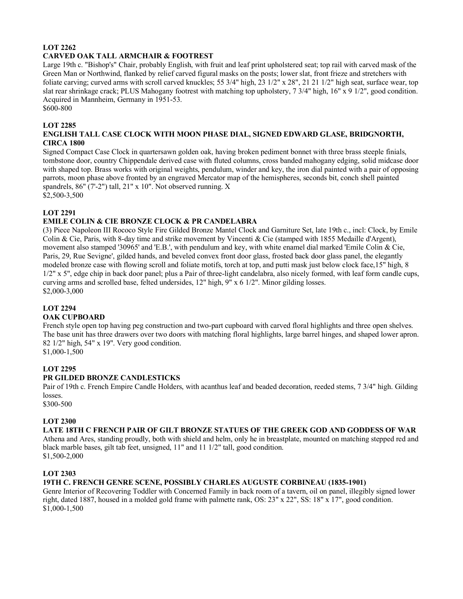# **LOT 2262 CARVED OAK TALL ARMCHAIR & FOOTREST**

Large 19th c. "Bishop's" Chair, probably English, with fruit and leaf print upholstered seat; top rail with carved mask of the Green Man or Northwind, flanked by relief carved figural masks on the posts; lower slat, front frieze and stretchers with foliate carving; curved arms with scroll carved knuckles; 55 3/4" high, 23 1/2" x 28", 21 21 1/2" high seat, surface wear, top slat rear shrinkage crack; PLUS Mahogany footrest with matching top upholstery, 7 3/4" high, 16" x 9 1/2", good condition. Acquired in Mannheim, Germany in 1951-53.

\$600-800

# **LOT 2285**

#### **ENGLISH TALL CASE CLOCK WITH MOON PHASE DIAL, SIGNED EDWARD GLASE, BRIDGNORTH, CIRCA 1800**

Signed Compact Case Clock in quartersawn golden oak, having broken pediment bonnet with three brass steeple finials, tombstone door, country Chippendale derived case with fluted columns, cross banded mahogany edging, solid midcase door with shaped top. Brass works with original weights, pendulum, winder and key, the iron dial painted with a pair of opposing parrots, moon phase above fronted by an engraved Mercator map of the hemispheres, seconds bit, conch shell painted spandrels, 86" (7'-2") tall, 21" x 10". Not observed running. X

\$2,500-3,500

# **LOT 2291**

# **EMILE COLIN & CIE BRONZE CLOCK & PR CANDELABRA**

(3) Piece Napoleon III Rococo Style Fire Gilded Bronze Mantel Clock and Garniture Set, late 19th c., incl: Clock, by Emile Colin & Cie, Paris, with 8-day time and strike movement by Vincenti & Cie (stamped with 1855 Medaille d'Argent), movement also stamped '30965' and 'E.B.', with pendulum and key, with white enamel dial marked 'Emile Colin & Cie, Paris, 29, Rue Sevigne', gilded hands, and beveled convex front door glass, frosted back door glass panel, the elegantly modeled bronze case with flowing scroll and foliate motifs, torch at top, and putti mask just below clock face,15" high, 8 1/2" x 5", edge chip in back door panel; plus a Pair of three-light candelabra, also nicely formed, with leaf form candle cups, curving arms and scrolled base, felted undersides, 12" high, 9" x 6 1/2". Minor gilding losses. \$2,000-3,000

#### **LOT 2294**

#### **OAK CUPBOARD**

French style open top having peg construction and two-part cupboard with carved floral highlights and three open shelves. The base unit has three drawers over two doors with matching floral highlights, large barrel hinges, and shaped lower apron. 82 1/2" high, 54" x 19". Very good condition.

\$1,000-1,500

#### **LOT 2295**

# **PR GILDED BRONZE CANDLESTICKS**

Pair of 19th c. French Empire Candle Holders, with acanthus leaf and beaded decoration, reeded stems, 7 3/4" high. Gilding losses.

\$300-500

#### **LOT 2300**

#### **LATE 18TH C FRENCH PAIR OF GILT BRONZE STATUES OF THE GREEK GOD AND GODDESS OF WAR**

Athena and Ares, standing proudly, both with shield and helm, only he in breastplate, mounted on matching stepped red and black marble bases, gilt tab feet, unsigned, 11" and 11 1/2" tall, good condition.

\$1,500-2,000

#### **LOT 2303**

# **19TH C. FRENCH GENRE SCENE, POSSIBLY CHARLES AUGUSTE CORBINEAU (1835-1901)**

Genre Interior of Recovering Toddler with Concerned Family in back room of a tavern, oil on panel, illegibly signed lower right, dated 1887, housed in a molded gold frame with palmette rank, OS: 23" x 22", SS: 18" x 17", good condition. \$1,000-1,500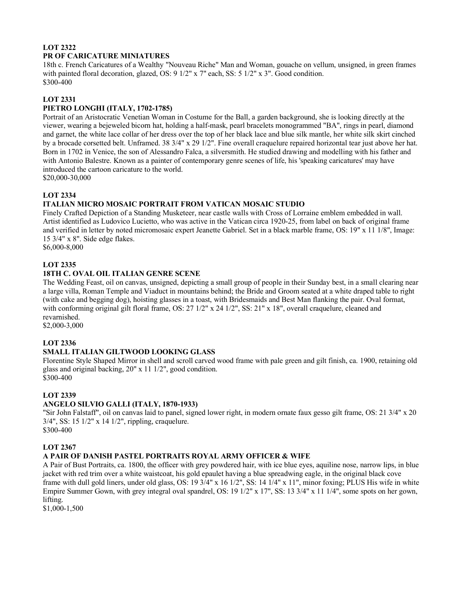# **LOT 2322 PR OF CARICATURE MINIATURES**

18th c. French Caricatures of a Wealthy "Nouveau Riche" Man and Woman, gouache on vellum, unsigned, in green frames with painted floral decoration, glazed, OS: 9 1/2" x 7" each, SS: 5 1/2" x 3". Good condition. \$300-400

# **LOT 2331**

# **PIETRO LONGHI (ITALY, 1702-1785)**

Portrait of an Aristocratic Venetian Woman in Costume for the Ball, a garden background, she is looking directly at the viewer, wearing a bejeweled bicorn hat, holding a half-mask, pearl bracelets monogrammed "BA", rings in pearl, diamond and garnet, the white lace collar of her dress over the top of her black lace and blue silk mantle, her white silk skirt cinched by a brocade corsetted belt. Unframed. 38 3/4" x 29 1/2". Fine overall craquelure repaired horizontal tear just above her hat. Born in 1702 in Venice, the son of Alessandro Falca, a silversmith. He studied drawing and modelling with his father and with Antonio Balestre. Known as a painter of contemporary genre scenes of life, his 'speaking caricatures' may have introduced the cartoon caricature to the world.

\$20,000-30,000

# **LOT 2334**

# **ITALIAN MICRO MOSAIC PORTRAIT FROM VATICAN MOSAIC STUDIO**

Finely Crafted Depiction of a Standing Musketeer, near castle walls with Cross of Lorraine emblem embedded in wall. Artist identified as Ludovico Lucietto, who was active in the Vatican circa 1920-25, from label on back of original frame and verified in letter by noted micromosaic expert Jeanette Gabriel. Set in a black marble frame, OS: 19" x 11 1/8", Image: 15 3/4" x 8". Side edge flakes.

\$6,000-8,000

# **LOT 2335**

# **18TH C. OVAL OIL ITALIAN GENRE SCENE**

The Wedding Feast, oil on canvas, unsigned, depicting a small group of people in their Sunday best, in a small clearing near a large villa, Roman Temple and Viaduct in mountains behind; the Bride and Groom seated at a white draped table to right (with cake and begging dog), hoisting glasses in a toast, with Bridesmaids and Best Man flanking the pair. Oval format, with conforming original gilt floral frame, OS: 27 1/2" x 24 1/2", SS: 21" x 18", overall craquelure, cleaned and revarnished.

\$2,000-3,000

# **LOT 2336**

# **SMALL ITALIAN GILTWOOD LOOKING GLASS**

Florentine Style Shaped Mirror in shell and scroll carved wood frame with pale green and gilt finish, ca. 1900, retaining old glass and original backing, 20" x 11 1/2", good condition. \$300-400

#### **LOT 2339**

# **ANGELO SILVIO GALLI (ITALY, 1870-1933)**

"Sir John Falstaff", oil on canvas laid to panel, signed lower right, in modern ornate faux gesso gilt frame, OS: 21 3/4" x 20 3/4", SS: 15 1/2" x 14 1/2", rippling, craquelure. \$300-400

# **LOT 2367**

#### **A PAIR OF DANISH PASTEL PORTRAITS ROYAL ARMY OFFICER & WIFE**

A Pair of Bust Portraits, ca. 1800, the officer with grey powdered hair, with ice blue eyes, aquiline nose, narrow lips, in blue jacket with red trim over a white waistcoat, his gold epaulet having a blue spreadwing eagle, in the original black cove frame with dull gold liners, under old glass, OS: 19 3/4" x 16 1/2", SS: 14 1/4" x 11", minor foxing; PLUS His wife in white Empire Summer Gown, with grey integral oval spandrel, OS: 19 1/2" x 17", SS: 13 3/4" x 11 1/4", some spots on her gown, lifting.

\$1,000-1,500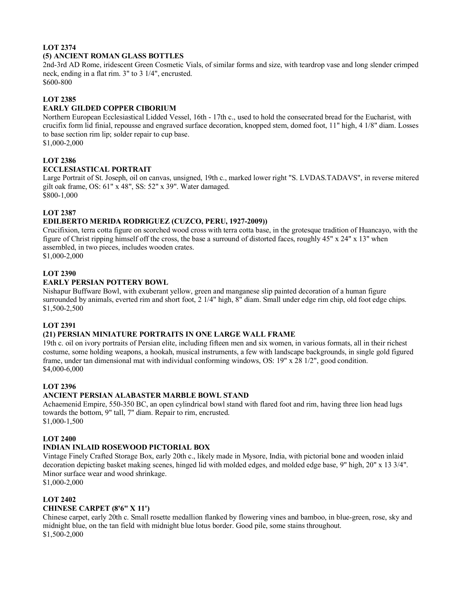# **LOT 2374 (5) ANCIENT ROMAN GLASS BOTTLES**

2nd-3rd AD Rome, iridescent Green Cosmetic Vials, of similar forms and size, with teardrop vase and long slender crimped neck, ending in a flat rim. 3" to 3 1/4", encrusted. \$600-800

# **LOT 2385**

#### **EARLY GILDED COPPER CIBORIUM**

Northern European Ecclesiastical Lidded Vessel, 16th - 17th c., used to hold the consecrated bread for the Eucharist, with crucifix form lid finial, repousse and engraved surface decoration, knopped stem, domed foot, 11" high, 4 1/8" diam. Losses to base section rim lip; solder repair to cup base.

\$1,000-2,000

# **LOT 2386**

# **ECCLESIASTICAL PORTRAIT**

Large Portrait of St. Joseph, oil on canvas, unsigned, 19th c., marked lower right "S. LVDAS.TADAVS", in reverse mitered gilt oak frame, OS: 61" x 48", SS: 52" x 39". Water damaged.

\$800-1,000

# **LOT 2387**

# **EDILBERTO MERIDA RODRIGUEZ (CUZCO, PERU, 1927-2009))**

Crucifixion, terra cotta figure on scorched wood cross with terra cotta base, in the grotesque tradition of Huancayo, with the figure of Christ ripping himself off the cross, the base a surround of distorted faces, roughly 45" x 24" x 13" when assembled, in two pieces, includes wooden crates. \$1,000-2,000

# **LOT 2390**

#### **EARLY PERSIAN POTTERY BOWL**

Nishapur Buffware Bowl, with exuberant yellow, green and manganese slip painted decoration of a human figure surrounded by animals, everted rim and short foot, 2 1/4" high, 8" diam. Small under edge rim chip, old foot edge chips. \$1,500-2,500

#### **LOT 2391**

# **(21) PERSIAN MINIATURE PORTRAITS IN ONE LARGE WALL FRAME**

19th c. oil on ivory portraits of Persian elite, including fifteen men and six women, in various formats, all in their richest costume, some holding weapons, a hookah, musical instruments, a few with landscape backgrounds, in single gold figured frame, under tan dimensional mat with individual conforming windows, OS: 19" x 28 1/2", good condition. \$4,000-6,000

#### **LOT 2396**

#### **ANCIENT PERSIAN ALABASTER MARBLE BOWL STAND**

Achaemenid Empire, 550-350 BC, an open cylindrical bowl stand with flared foot and rim, having three lion head lugs towards the bottom, 9" tall, 7" diam. Repair to rim, encrusted. \$1,000-1,500

#### **LOT 2400**

# **INDIAN INLAID ROSEWOOD PICTORIAL BOX**

Vintage Finely Crafted Storage Box, early 20th c., likely made in Mysore, India, with pictorial bone and wooden inlaid decoration depicting basket making scenes, hinged lid with molded edges, and molded edge base, 9" high, 20" x 13 3/4". Minor surface wear and wood shrinkage.

# \$1,000-2,000

# **LOT 2402**

# **CHINESE CARPET (8'6" X 11')**

Chinese carpet, early 20th c. Small rosette medallion flanked by flowering vines and bamboo, in blue-green, rose, sky and midnight blue, on the tan field with midnight blue lotus border. Good pile, some stains throughout. \$1,500-2,000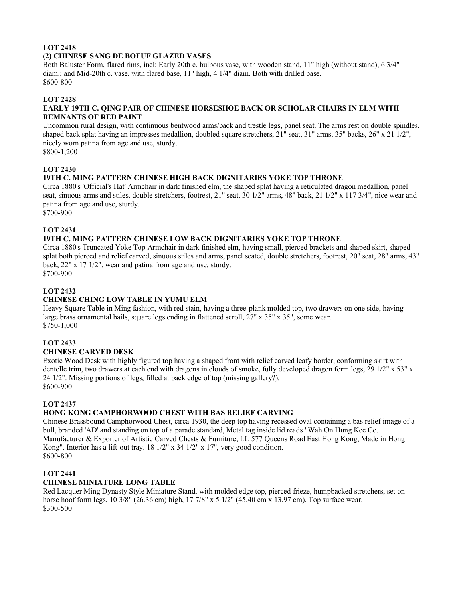# **LOT 2418 (2) CHINESE SANG DE BOEUF GLAZED VASES**

Both Baluster Form, flared rims, incl: Early 20th c. bulbous vase, with wooden stand, 11" high (without stand), 6 3/4" diam.; and Mid-20th c. vase, with flared base, 11" high, 4 1/4" diam. Both with drilled base. \$600-800

# **LOT 2428**

#### **EARLY 19TH C. QING PAIR OF CHINESE HORSESHOE BACK OR SCHOLAR CHAIRS IN ELM WITH REMNANTS OF RED PAINT**

Uncommon rural design, with continuous bentwood arms/back and trestle legs, panel seat. The arms rest on double spindles, shaped back splat having an impresses medallion, doubled square stretchers, 21" seat, 31" arms, 35" backs, 26" x 21 1/2", nicely worn patina from age and use, sturdy.

\$800-1,200

# **LOT 2430**

# **19TH C. MING PATTERN CHINESE HIGH BACK DIGNITARIES YOKE TOP THRONE**

Circa 1880's 'Official's Hat' Armchair in dark finished elm, the shaped splat having a reticulated dragon medallion, panel seat, sinuous arms and stiles, double stretchers, footrest, 21" seat, 30 1/2" arms, 48" back, 21 1/2" x 117 3/4", nice wear and patina from age and use, sturdy.

\$700-900

# **LOT 2431**

# **19TH C. MING PATTERN CHINESE LOW BACK DIGNITARIES YOKE TOP THRONE**

Circa 1880's Truncated Yoke Top Armchair in dark finished elm, having small, pierced brackets and shaped skirt, shaped splat both pierced and relief carved, sinuous stiles and arms, panel seated, double stretchers, footrest, 20" seat, 28" arms, 43" back, 22" x 17 1/2", wear and patina from age and use, sturdy. \$700-900

# **LOT 2432**

# **CHINESE CHING LOW TABLE IN YUMU ELM**

Heavy Square Table in Ming fashion, with red stain, having a three-plank molded top, two drawers on one side, having large brass ornamental bails, square legs ending in flattened scroll, 27" x 35" x 35", some wear. \$750-1,000

#### **LOT 2433**

#### **CHINESE CARVED DESK**

Exotic Wood Desk with highly figured top having a shaped front with relief carved leafy border, conforming skirt with dentelle trim, two drawers at each end with dragons in clouds of smoke, fully developed dragon form legs, 29 1/2" x 53" x 24 1/2". Missing portions of legs, filled at back edge of top (missing gallery?). \$600-900

#### **LOT 2437**

#### **HONG KONG CAMPHORWOOD CHEST WITH BAS RELIEF CARVING**

Chinese Brassbound Camphorwood Chest, circa 1930, the deep top having recessed oval containing a bas relief image of a bull, branded 'AD' and standing on top of a parade standard, Metal tag inside lid reads "Wah On Hung Kee Co. Manufacturer & Exporter of Artistic Carved Chests & Furniture, LL 577 Queens Road East Hong Kong, Made in Hong Kong". Interior has a lift-out tray. 18 1/2" x 34 1/2" x 17", very good condition. \$600-800

# **LOT 2441**

# **CHINESE MINIATURE LONG TABLE**

Red Lacquer Ming Dynasty Style Miniature Stand, with molded edge top, pierced frieze, humpbacked stretchers, set on horse hoof form legs, 10 3/8" (26.36 cm) high, 17 7/8" x 5 1/2" (45.40 cm x 13.97 cm). Top surface wear. \$300-500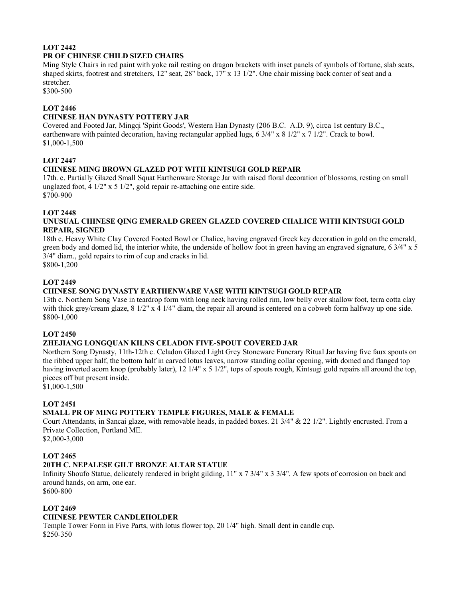# **LOT 2442 PR OF CHINESE CHILD SIZED CHAIRS**

Ming Style Chairs in red paint with yoke rail resting on dragon brackets with inset panels of symbols of fortune, slab seats, shaped skirts, footrest and stretchers, 12" seat, 28" back, 17" x 13 1/2". One chair missing back corner of seat and a stretcher.

\$300-500

#### **LOT 2446**

## **CHINESE HAN DYNASTY POTTERY JAR**

Covered and Footed Jar, Mingqi 'Spirit Goods', Western Han Dynasty (206 B.C.–A.D. 9), circa 1st century B.C., earthenware with painted decoration, having rectangular applied lugs, 6 3/4" x 8 1/2" x 7 1/2". Crack to bowl. \$1,000-1,500

# **LOT 2447**

# **CHINESE MING BROWN GLAZED POT WITH KINTSUGI GOLD REPAIR**

17th. c. Partially Glazed Small Squat Earthenware Storage Jar with raised floral decoration of blossoms, resting on small unglazed foot, 4 1/2" x 5 1/2", gold repair re-attaching one entire side. \$700-900

# **LOT 2448**

#### **UNUSUAL CHINESE QING EMERALD GREEN GLAZED COVERED CHALICE WITH KINTSUGI GOLD REPAIR, SIGNED**

18th c. Heavy White Clay Covered Footed Bowl or Chalice, having engraved Greek key decoration in gold on the emerald, green body and domed lid, the interior white, the underside of hollow foot in green having an engraved signature, 6 3/4" x 5 3/4" diam., gold repairs to rim of cup and cracks in lid. \$800-1,200

# **LOT 2449**

# **CHINESE SONG DYNASTY EARTHENWARE VASE WITH KINTSUGI GOLD REPAIR**

13th c. Northern Song Vase in teardrop form with long neck having rolled rim, low belly over shallow foot, terra cotta clay with thick grey/cream glaze,  $8\frac{1}{2}$ " x 4 1/4" diam, the repair all around is centered on a cobweb form halfway up one side. \$800-1,000

#### **LOT 2450**

#### **ZHEJIANG LONGQUAN KILNS CELADON FIVE-SPOUT COVERED JAR**

Northern Song Dynasty, 11th-12th c. Celadon Glazed Light Grey Stoneware Funerary Ritual Jar having five faux spouts on the ribbed upper half, the bottom half in carved lotus leaves, narrow standing collar opening, with domed and flanged top having inverted acorn knop (probably later), 12 1/4" x 5 1/2", tops of spouts rough, Kintsugi gold repairs all around the top, pieces off but present inside.

\$1,000-1,500

#### **LOT 2451**

#### **SMALL PR OF MING POTTERY TEMPLE FIGURES, MALE & FEMALE**

Court Attendants, in Sancai glaze, with removable heads, in padded boxes. 21 3/4" & 22 1/2". Lightly encrusted. From a Private Collection, Portland ME.

\$2,000-3,000

#### **LOT 2465**

# **20TH C. NEPALESE GILT BRONZE ALTAR STATUE**

Infinity Shoufo Statue, delicately rendered in bright gilding, 11" x 7 3/4" x 3 3/4". A few spots of corrosion on back and around hands, on arm, one ear. \$600-800

#### **LOT 2469**

#### **CHINESE PEWTER CANDLEHOLDER**

Temple Tower Form in Five Parts, with lotus flower top, 20 1/4" high. Small dent in candle cup. \$250-350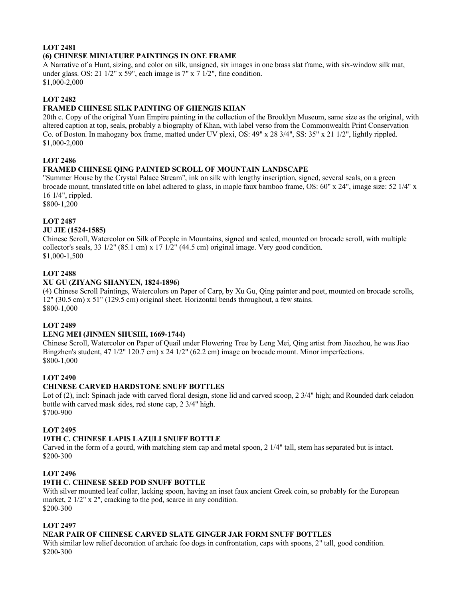# **LOT 2481 (6) CHINESE MINIATURE PAINTINGS IN ONE FRAME**

A Narrative of a Hunt, sizing, and color on silk, unsigned, six images in one brass slat frame, with six-window silk mat, under glass. OS: 21 1/2" x 59", each image is 7" x 7 1/2", fine condition. \$1,000-2,000

# **LOT 2482**

# **FRAMED CHINESE SILK PAINTING OF GHENGIS KHAN**

20th c. Copy of the original Yuan Empire painting in the collection of the Brooklyn Museum, same size as the original, with altered caption at top, seals, probably a biography of Khan, with label verso from the Commonwealth Print Conservation Co. of Boston. In mahogany box frame, matted under UV plexi, OS: 49" x 28 3/4", SS: 35" x 21 1/2", lightly rippled. \$1,000-2,000

# **LOT 2486**

#### **FRAMED CHINESE QING PAINTED SCROLL OF MOUNTAIN LANDSCAPE**

"Summer House by the Crystal Palace Stream", ink on silk with lengthy inscription, signed, several seals, on a green brocade mount, translated title on label adhered to glass, in maple faux bamboo frame, OS: 60" x 24", image size: 52 1/4" x 16 1/4", rippled.

\$800-1,200

#### **LOT 2487**

#### **JU JIE (1524-1585)**

Chinese Scroll, Watercolor on Silk of People in Mountains, signed and sealed, mounted on brocade scroll, with multiple collector's seals, 33 1/2" (85.1 cm) x 17 1/2" (44.5 cm) original image. Very good condition. \$1,000-1,500

#### **LOT 2488**

#### **XU GU (ZIYANG SHANYEN, 1824-1896)**

(4) Chinese Scroll Paintings, Watercolors on Paper of Carp, by Xu Gu, Qing painter and poet, mounted on brocade scrolls, 12" (30.5 cm) x 51" (129.5 cm) original sheet. Horizontal bends throughout, a few stains. \$800-1,000

#### **LOT 2489**

#### **LENG MEI (JINMEN SHUSHI, 1669-1744)**

Chinese Scroll, Watercolor on Paper of Quail under Flowering Tree by Leng Mei, Qing artist from Jiaozhou, he was Jiao Bingzhen's student, 47 1/2" 120.7 cm) x 24 1/2" (62.2 cm) image on brocade mount. Minor imperfections. \$800-1,000

#### **LOT 2490**

# **CHINESE CARVED HARDSTONE SNUFF BOTTLES**

Lot of (2), incl: Spinach jade with carved floral design, stone lid and carved scoop, 2 3/4" high; and Rounded dark celadon bottle with carved mask sides, red stone cap, 2 3/4" high. \$700-900

#### **LOT 2495**

#### **19TH C. CHINESE LAPIS LAZULI SNUFF BOTTLE**

Carved in the form of a gourd, with matching stem cap and metal spoon, 2 1/4" tall, stem has separated but is intact. \$200-300

#### **LOT 2496**

#### **19TH C. CHINESE SEED POD SNUFF BOTTLE**

With silver mounted leaf collar, lacking spoon, having an inset faux ancient Greek coin, so probably for the European market, 2 1/2" x 2", cracking to the pod, scarce in any condition. \$200-300

# **LOT 2497**

#### **NEAR PAIR OF CHINESE CARVED SLATE GINGER JAR FORM SNUFF BOTTLES**

With similar low relief decoration of archaic foo dogs in confrontation, caps with spoons, 2" tall, good condition. \$200-300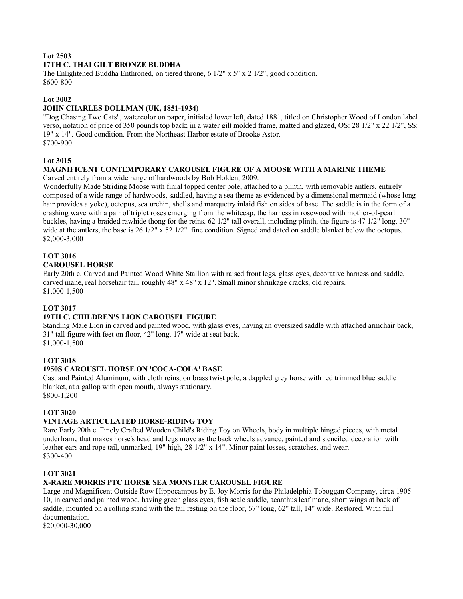# **Lot 2503**

#### **17TH C. THAI GILT BRONZE BUDDHA**

The Enlightened Buddha Enthroned, on tiered throne, 6  $1/2$ " x  $5$ " x  $2 \frac{1}{2}$ ", good condition. \$600-800

#### **Lot 3002**

#### **JOHN CHARLES DOLLMAN (UK, 1851-1934)**

"Dog Chasing Two Cats", watercolor on paper, initialed lower left, dated 1881, titled on Christopher Wood of London label verso, notation of price of 350 pounds top back; in a water gilt molded frame, matted and glazed, OS: 28 1/2" x 22 1/2", SS: 19" x 14". Good condition. From the Northeast Harbor estate of Brooke Astor. \$700-900

#### **Lot 3015**

#### **MAGNIFICENT CONTEMPORARY CAROUSEL FIGURE OF A MOOSE WITH A MARINE THEME**

Carved entirely from a wide range of hardwoods by Bob Holden, 2009.

Wonderfully Made Striding Moose with finial topped center pole, attached to a plinth, with removable antlers, entirely composed of a wide range of hardwoods, saddled, having a sea theme as evidenced by a dimensional mermaid (whose long hair provides a yoke), octopus, sea urchin, shells and marquetry inlaid fish on sides of base. The saddle is in the form of a crashing wave with a pair of triplet roses emerging from the whitecap, the harness in rosewood with mother-of-pearl buckles, having a braided rawhide thong for the reins. 62 1/2" tall overall, including plinth, the figure is 47 1/2" long, 30" wide at the antlers, the base is 26 1/2" x 52 1/2". fine condition. Signed and dated on saddle blanket below the octopus. \$2,000-3,000

# **LOT 3016**

# **CAROUSEL HORSE**

Early 20th c. Carved and Painted Wood White Stallion with raised front legs, glass eyes, decorative harness and saddle, carved mane, real horsehair tail, roughly 48" x 48" x 12". Small minor shrinkage cracks, old repairs. \$1,000-1,500

#### **LOT 3017**

#### **19TH C. CHILDREN'S LION CAROUSEL FIGURE**

Standing Male Lion in carved and painted wood, with glass eyes, having an oversized saddle with attached armchair back, 31" tall figure with feet on floor, 42" long, 17" wide at seat back. \$1,000-1,500

#### **LOT 3018**

#### **1950S CAROUSEL HORSE ON 'COCA-COLA' BASE**

Cast and Painted Aluminum, with cloth reins, on brass twist pole, a dappled grey horse with red trimmed blue saddle blanket, at a gallop with open mouth, always stationary. \$800-1,200

#### **LOT 3020**

#### **VINTAGE ARTICULATED HORSE-RIDING TOY**

Rare Early 20th c. Finely Crafted Wooden Child's Riding Toy on Wheels, body in multiple hinged pieces, with metal underframe that makes horse's head and legs move as the back wheels advance, painted and stenciled decoration with leather ears and rope tail, unmarked, 19" high, 28 1/2" x 14". Minor paint losses, scratches, and wear. \$300-400

#### **LOT 3021**

#### **X-RARE MORRIS PTC HORSE SEA MONSTER CAROUSEL FIGURE**

Large and Magnificent Outside Row Hippocampus by E. Joy Morris for the Philadelphia Toboggan Company, circa 1905- 10, in carved and painted wood, having green glass eyes, fish scale saddle, acanthus leaf mane, short wings at back of saddle, mounted on a rolling stand with the tail resting on the floor, 67" long, 62" tall, 14" wide. Restored. With full documentation.

\$20,000-30,000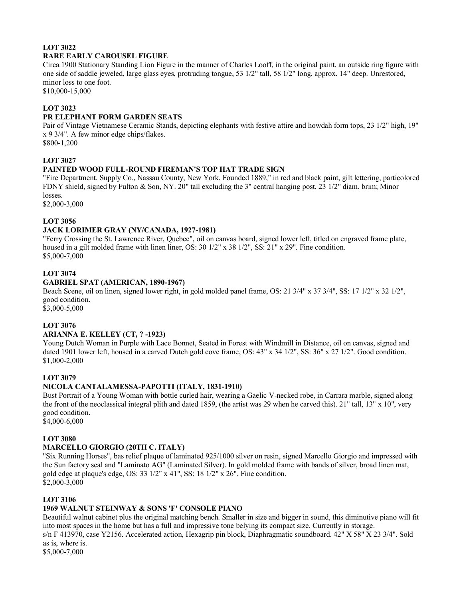# **LOT 3022 RARE EARLY CAROUSEL FIGURE**

Circa 1900 Stationary Standing Lion Figure in the manner of Charles Looff, in the original paint, an outside ring figure with one side of saddle jeweled, large glass eyes, protruding tongue, 53 1/2" tall, 58 1/2" long, approx. 14" deep. Unrestored, minor loss to one foot.

\$10,000-15,000

#### **LOT 3023**

## **PR ELEPHANT FORM GARDEN SEATS**

Pair of Vintage Vietnamese Ceramic Stands, depicting elephants with festive attire and howdah form tops, 23 1/2" high, 19" x 9 3/4". A few minor edge chips/flakes.

\$800-1,200

# **LOT 3027**

# **PAINTED WOOD FULL-ROUND FIREMAN'S TOP HAT TRADE SIGN**

"Fire Department. Supply Co., Nassau County, New York, Founded 1889," in red and black paint, gilt lettering, particolored FDNY shield, signed by Fulton & Son, NY. 20" tall excluding the 3" central hanging post, 23 1/2" diam. brim; Minor losses.

\$2,000-3,000

#### **LOT 3056**

# **JACK LORIMER GRAY (NY/CANADA, 1927-1981)**

"Ferry Crossing the St. Lawrence River, Quebec", oil on canvas board, signed lower left, titled on engraved frame plate, housed in a gilt molded frame with linen liner, OS: 30 1/2" x 38 1/2", SS: 21" x 29". Fine condition. \$5,000-7,000

# **LOT 3074**

#### **GABRIEL SPAT (AMERICAN, 1890-1967)**

Beach Scene, oil on linen, signed lower right, in gold molded panel frame, OS: 21 3/4" x 37 3/4", SS: 17 1/2" x 32 1/2", good condition.

\$3,000-5,000

# **LOT 3076**

#### **ARIANNA E. KELLEY (CT, ? -1923)**

Young Dutch Woman in Purple with Lace Bonnet, Seated in Forest with Windmill in Distance, oil on canvas, signed and dated 1901 lower left, housed in a carved Dutch gold cove frame, OS: 43" x 34 1/2", SS: 36" x 27 1/2". Good condition. \$1,000-2,000

#### **LOT 3079**

# **NICOLA CANTALAMESSA-PAPOTTI (ITALY, 1831-1910)**

Bust Portrait of a Young Woman with bottle curled hair, wearing a Gaelic V-necked robe, in Carrara marble, signed along the front of the neoclassical integral plith and dated 1859, (the artist was 29 when he carved this). 21" tall, 13" x 10", very good condition.

\$4,000-6,000

#### **LOT 3080**

# **MARCELLO GIORGIO (20TH C. ITALY)**

"Six Running Horses", bas relief plaque of laminated 925/1000 silver on resin, signed Marcello Giorgio and impressed with the Sun factory seal and "Laminato AG" (Laminated Silver). In gold molded frame with bands of silver, broad linen mat, gold edge at plaque's edge, OS: 33 1/2" x 41", SS: 18 1/2" x 26". Fine condition. \$2,000-3,000

#### **LOT 3106**

#### **1969 WALNUT STEINWAY & SONS 'F' CONSOLE PIANO**

Beautiful walnut cabinet plus the original matching bench. Smaller in size and bigger in sound, this diminutive piano will fit into most spaces in the home but has a full and impressive tone belying its compact size. Currently in storage.

s/n F 413970, case Y2156. Accelerated action, Hexagrip pin block, Diaphragmatic soundboard. 42" X 58" X 23 3/4". Sold as is, where is.

\$5,000-7,000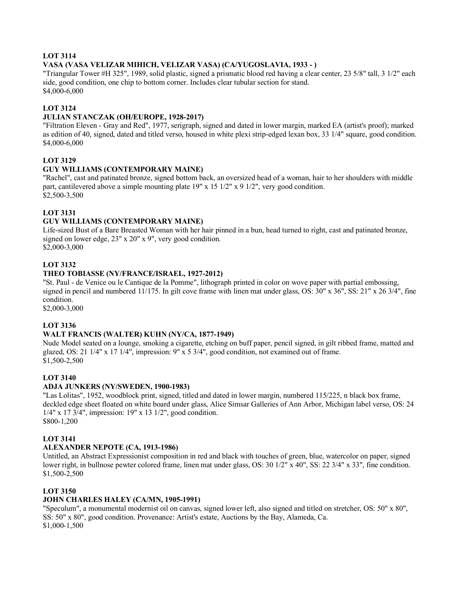### **LOT 3114**

#### **VASA (VASA VELIZAR MIHICH, VELIZAR VASA) (CA/YUGOSLAVIA, 1933 - )**

"Triangular Tower #H 325", 1989, solid plastic, signed a prismatic blood red having a clear center, 23 5/8" tall, 3 1/2" each side, good condition, one chip to bottom corner. Includes clear tubular section for stand. \$4,000-6,000

#### **LOT 3124**

#### **JULIAN STANCZAK (OH/EUROPE, 1928-2017)**

"Filtration Eleven - Gray and Red", 1977, serigraph, signed and dated in lower margin, marked EA (artist's proof); marked as edition of 40, signed, dated and titled verso, housed in white plexi strip-edged lexan box, 33 1/4" square, good condition. \$4,000-6,000

#### **LOT 3129**

#### **GUY WILLIAMS (CONTEMPORARY MAINE)**

"Rachel", cast and patinated bronze, signed bottom back, an oversized head of a woman, hair to her shoulders with middle part, cantilevered above a simple mounting plate 19" x 15 1/2" x 9 1/2", very good condition. \$2,500-3,500

# **LOT 3131**

#### **GUY WILLIAMS (CONTEMPORARY MAINE)**

Life-sized Bust of a Bare Breasted Woman with her hair pinned in a bun, head turned to right, cast and patinated bronze, signed on lower edge, 23" x 20" x 9", very good condition. \$2,000-3,000

#### **LOT 3132**

#### **THEO TOBIASSE (NY/FRANCE/ISRAEL, 1927-2012)**

"St. Paul - de Venice ou le Cantique de la Pomme", lithograph printed in color on wove paper with partial embossing, signed in pencil and numbered 11/175. In gilt cove frame with linen mat under glass, OS: 30" x 36", SS: 21" x 26 3/4", fine condition.

\$2,000-3,000

#### **LOT 3136**

#### **WALT FRANCIS (WALTER) KUHN (NY/CA, 1877-1949)**

Nude Model seated on a lounge, smoking a cigarette, etching on buff paper, pencil signed, in gilt ribbed frame, matted and glazed, OS: 21 1/4" x 17 1/4", impression: 9" x 5 3/4", good condition, not examined out of frame. \$1,500-2,500

#### **LOT 3140**

#### **ADJA JUNKERS (NY/SWEDEN, 1900-1983)**

"Las Lolitas", 1952, woodblock print, signed, titled and dated in lower margin, numbered 115/225, n black box frame, deckled edge sheet floated on white board under glass, Alice Simsar Galleries of Ann Arbor, Michigan label verso, OS: 24 1/4" x 17 3/4", impression: 19" x 13 1/2", good condition. \$800-1,200

#### **LOT 3141**

#### **ALEXANDER NEPOTE (CA, 1913-1986)**

Untitled, an Abstract Expressionist composition in red and black with touches of green, blue, watercolor on paper, signed lower right, in bullnose pewter colored frame, linen mat under glass, OS: 30 1/2" x 40", SS: 22 3/4" x 33", fine condition. \$1,500-2,500

#### **LOT 3150**

#### **JOHN CHARLES HALEY (CA/MN, 1905-1991)**

"Speculum", a monumental modernist oil on canvas, signed lower left, also signed and titled on stretcher, OS: 50" x 80", SS: 50" x 80", good condition. Provenance: Artist's estate, Auctions by the Bay, Alameda, Ca. \$1,000-1,500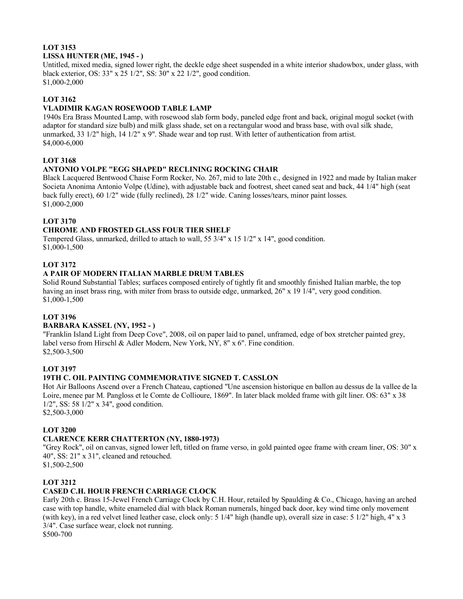# **LOT 3153 LISSA HUNTER (ME, 1945 - )**

Untitled, mixed media, signed lower right, the deckle edge sheet suspended in a white interior shadowbox, under glass, with black exterior, OS: 33" x 25 1/2", SS: 30" x 22 1/2", good condition. \$1,000-2,000

#### **LOT 3162**

#### **VLADIMIR KAGAN ROSEWOOD TABLE LAMP**

1940s Era Brass Mounted Lamp, with rosewood slab form body, paneled edge front and back, original mogul socket (with adaptor for standard size bulb) and milk glass shade, set on a rectangular wood and brass base, with oval silk shade, unmarked, 33  $1/2$ " high, 14  $1/2$ " x 9". Shade wear and top rust. With letter of authentication from artist. \$4,000-6,000

# **LOT 3168**

#### **ANTONIO VOLPE "EGG SHAPED" RECLINING ROCKING CHAIR**

Black Lacquered Bentwood Chaise Form Rocker, No. 267, mid to late 20th c., designed in 1922 and made by Italian maker Societa Anonima Antonio Volpe (Udine), with adjustable back and footrest, sheet caned seat and back, 44 1/4" high (seat back fully erect), 60 1/2" wide (fully reclined), 28 1/2" wide. Caning losses/tears, minor paint losses. \$1,000-2,000

# **LOT 3170**

#### **CHROME AND FROSTED GLASS FOUR TIER SHELF**

Tempered Glass, unmarked, drilled to attach to wall, 55 3/4" x 15 1/2" x 14", good condition. \$1,000-1,500

#### **LOT 3172**

#### **A PAIR OF MODERN ITALIAN MARBLE DRUM TABLES**

Solid Round Substantial Tables; surfaces composed entirely of tightly fit and smoothly finished Italian marble, the top having an inset brass ring, with miter from brass to outside edge, unmarked, 26" x 19 1/4", very good condition. \$1,000-1,500

#### **LOT 3196**

#### **BARBARA KASSEL (NY, 1952 - )**

"Franklin Island Light from Deep Cove", 2008, oil on paper laid to panel, unframed, edge of box stretcher painted grey, label verso from Hirschl & Adler Modern, New York, NY, 8" x 6". Fine condition. \$2,500-3,500

#### **LOT 3197**

#### **19TH C. OIL PAINTING COMMEMORATIVE SIGNED T. CASSLON**

Hot Air Balloons Ascend over a French Chateau, captioned "Une ascension historique en ballon au dessus de la vallee de la Loire, menee par M. Pangloss et le Comte de Collioure, 1869". In later black molded frame with gilt liner. OS: 63" x 38 1/2", SS: 58 1/2" x 34", good condition.

\$2,500-3,000

#### **LOT 3200**

#### **CLARENCE KERR CHATTERTON (NY, 1880-1973)**

"Grey Rock", oil on canvas, signed lower left, titled on frame verso, in gold painted ogee frame with cream liner, OS: 30" x 40", SS: 21" x 31", cleaned and retouched.

\$1,500-2,500

# **LOT 3212**

# **CASED C.H. HOUR FRENCH CARRIAGE CLOCK**

Early 20th c. Brass 15-Jewel French Carriage Clock by C.H. Hour, retailed by Spaulding & Co., Chicago, having an arched case with top handle, white enameled dial with black Roman numerals, hinged back door, key wind time only movement (with key), in a red velvet lined leather case, clock only: 5 1/4" high (handle up), overall size in case: 5 1/2" high, 4" x 3 3/4". Case surface wear, clock not running.

\$500-700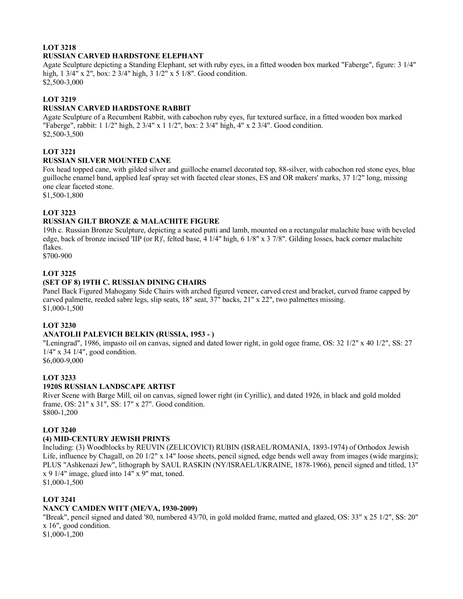# **LOT 3218 RUSSIAN CARVED HARDSTONE ELEPHANT**

Agate Sculpture depicting a Standing Elephant, set with ruby eyes, in a fitted wooden box marked "Faberge", figure: 3 1/4" high, 1 3/4" x 2", box: 2 3/4" high, 3 1/2" x 5 1/8". Good condition. \$2,500-3,000

#### **LOT 3219**

#### **RUSSIAN CARVED HARDSTONE RABBIT**

Agate Sculpture of a Recumbent Rabbit, with cabochon ruby eyes, fur textured surface, in a fitted wooden box marked "Faberge", rabbit: 1 1/2" high, 2 3/4" x 1 1/2", box: 2 3/4" high, 4" x 2 3/4". Good condition. \$2,500-3,500

# **LOT 3221**

#### **RUSSIAN SILVER MOUNTED CANE**

Fox head topped cane, with gilded silver and guilloche enamel decorated top, 88-silver, with cabochon red stone eyes, blue guilloche enamel band, applied leaf spray set with faceted clear stones, ES and OR makers' marks, 37 1/2" long, missing one clear faceted stone.

\$1,500-1,800

# **LOT 3223**

# **RUSSIAN GILT BRONZE & MALACHITE FIGURE**

19th c. Russian Bronze Sculpture, depicting a seated putti and lamb, mounted on a rectangular malachite base with beveled edge, back of bronze incised 'IIP (or R)', felted base,  $4 \frac{1}{4}$ " high,  $6 \frac{1}{8}$ " x  $3 \frac{7}{8}$ ". Gilding losses, back corner malachite flakes.

\$700-900

#### **LOT 3225**

#### **(SET OF 8) 19TH C. RUSSIAN DINING CHAIRS**

Panel Back Figured Mahogany Side Chairs with arched figured veneer, carved crest and bracket, curved frame capped by carved palmette, reeded sabre legs, slip seats, 18" seat, 37" backs, 21" x 22", two palmettes missing. \$1,000-1,500

# **LOT 3230**

# **ANATOLII PALEVICH BELKIN (RUSSIA, 1953 - )**

"Leningrad", 1986, impasto oil on canvas, signed and dated lower right, in gold ogee frame, OS: 32 1/2" x 40 1/2", SS: 27 1/4" x 34 1/4", good condition.

\$6,000-9,000

# **LOT 3233**

# **1920S RUSSIAN LANDSCAPE ARTIST**

River Scene with Barge Mill, oil on canvas, signed lower right (in Cyrillic), and dated 1926, in black and gold molded frame, OS: 21" x 31", SS: 17" x 27". Good condition. \$800-1,200

#### **LOT 3240**

#### **(4) MID-CENTURY JEWISH PRINTS**

Including: (3) Woodblocks by REUVIN (ZELICOVICI) RUBIN (ISRAEL/ROMANIA, 1893-1974) of Orthodox Jewish Life, influence by Chagall, on 20 1/2" x 14" loose sheets, pencil signed, edge bends well away from images (wide margins); PLUS "Ashkenazi Jew", lithograph by SAUL RASKIN (NY/ISRAEL/UKRAINE, 1878-1966), pencil signed and titled, 13" x 9 1/4" image, glued into 14" x 9" mat, toned. \$1,000-1,500

# **LOT 3241**

#### **NANCY CAMDEN WITT (ME/VA, 1930-2009)**

"Break", pencil signed and dated '80, numbered 43/70, in gold molded frame, matted and glazed, OS: 33" x 25 1/2", SS: 20" x 16", good condition.

\$1,000-1,200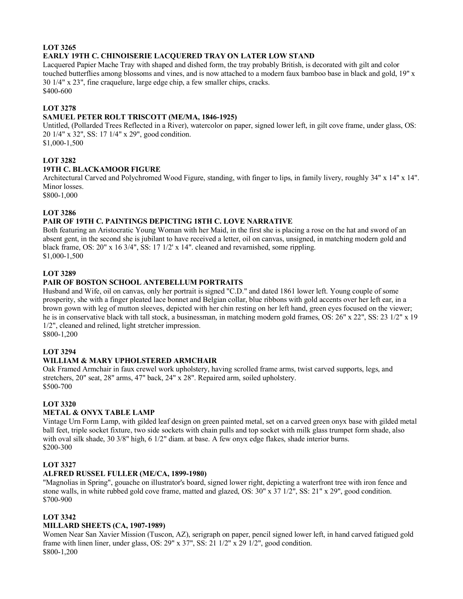# **LOT 3265 EARLY 19TH C. CHINOISERIE LACQUERED TRAY ON LATER LOW STAND**

Lacquered Papier Mache Tray with shaped and dished form, the tray probably British, is decorated with gilt and color touched butterflies among blossoms and vines, and is now attached to a modern faux bamboo base in black and gold, 19" x 30 1/4" x 23", fine craquelure, large edge chip, a few smaller chips, cracks. \$400-600

# **LOT 3278**

# **SAMUEL PETER ROLT TRISCOTT (ME/MA, 1846-1925)**

Untitled, (Pollarded Trees Reflected in a River), watercolor on paper, signed lower left, in gilt cove frame, under glass, OS: 20 1/4" x 32", SS: 17 1/4" x 29", good condition.

\$1,000-1,500

# **LOT 3282**

# **19TH C. BLACKAMOOR FIGURE**

Architectural Carved and Polychromed Wood Figure, standing, with finger to lips, in family livery, roughly 34" x 14" x 14". Minor losses.

\$800-1,000

# **LOT 3286**

# **PAIR OF 19TH C. PAINTINGS DEPICTING 18TH C. LOVE NARRATIVE**

Both featuring an Aristocratic Young Woman with her Maid, in the first she is placing a rose on the hat and sword of an absent gent, in the second she is jubilant to have received a letter, oil on canvas, unsigned, in matching modern gold and black frame, OS: 20" x 16 3/4", SS: 17 1/2' x 14". cleaned and revarnished, some rippling. \$1,000-1,500

#### **LOT 3289**

#### **PAIR OF BOSTON SCHOOL ANTEBELLUM PORTRAITS**

Husband and Wife, oil on canvas, only her portrait is signed "C.D." and dated 1861 lower left. Young couple of some prosperity, she with a finger pleated lace bonnet and Belgian collar, blue ribbons with gold accents over her left ear, in a brown gown with leg of mutton sleeves, depicted with her chin resting on her left hand, green eyes focused on the viewer; he is in conservative black with tall stock, a businessman, in matching modern gold frames, OS: 26" x 22", SS: 23 1/2" x 19 1/2", cleaned and relined, light stretcher impression. \$800-1,200

#### **LOT 3294**

# **WILLIAM & MARY UPHOLSTERED ARMCHAIR**

Oak Framed Armchair in faux crewel work upholstery, having scrolled frame arms, twist carved supports, legs, and stretchers, 20" seat, 28" arms, 47" back, 24" x 28". Repaired arm, soiled upholstery. \$500-700

#### **LOT 3320**

#### **METAL & ONYX TABLE LAMP**

Vintage Urn Form Lamp, with gilded leaf design on green painted metal, set on a carved green onyx base with gilded metal ball feet, triple socket fixture, two side sockets with chain pulls and top socket with milk glass trumpet form shade, also with oval silk shade, 30 3/8" high, 6 1/2" diam. at base. A few onyx edge flakes, shade interior burns. \$200-300

#### **LOT 3327**

#### **ALFRED RUSSEL FULLER (ME/CA, 1899-1980)**

"Magnolias in Spring", gouache on illustrator's board, signed lower right, depicting a waterfront tree with iron fence and stone walls, in white rubbed gold cove frame, matted and glazed, OS: 30" x 37 1/2", SS: 21" x 29", good condition. \$700-900

#### **LOT 3342**

# **MILLARD SHEETS (CA, 1907-1989)**

Women Near San Xavier Mission (Tuscon, AZ), serigraph on paper, pencil signed lower left, in hand carved fatigued gold frame with linen liner, under glass, OS: 29" x 37", SS: 21 1/2" x 29 1/2", good condition. \$800-1,200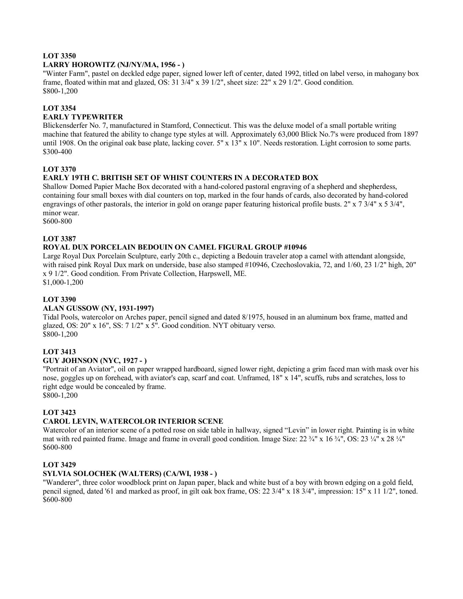#### **LOT 3350**

#### **LARRY HOROWITZ (NJ/NY/MA, 1956 - )**

"Winter Farm", pastel on deckled edge paper, signed lower left of center, dated 1992, titled on label verso, in mahogany box frame, floated within mat and glazed, OS: 31 3/4" x 39 1/2", sheet size: 22" x 29 1/2". Good condition. \$800-1,200

#### **LOT 3354**

#### **EARLY TYPEWRITER**

Blickensderfer No. 7, manufactured in Stamford, Connecticut. This was the deluxe model of a small portable writing machine that featured the ability to change type styles at will. Approximately 63,000 Blick No.7's were produced from 1897 until 1908. On the original oak base plate, lacking cover.  $5" \times 13" \times 10"$ . Needs restoration. Light corrosion to some parts. \$300-400

#### **LOT 3370**

#### **EARLY 19TH C. BRITISH SET OF WHIST COUNTERS IN A DECORATED BOX**

Shallow Domed Papier Mache Box decorated with a hand-colored pastoral engraving of a shepherd and shepherdess, containing four small boxes with dial counters on top, marked in the four hands of cards, also decorated by hand-colored engravings of other pastorals, the interior in gold on orange paper featuring historical profile busts. 2" x 7 3/4" x 5 3/4", minor wear.

\$600-800

#### **LOT 3387**

#### **ROYAL DUX PORCELAIN BEDOUIN ON CAMEL FIGURAL GROUP #10946**

Large Royal Dux Porcelain Sculpture, early 20th c., depicting a Bedouin traveler atop a camel with attendant alongside, with raised pink Royal Dux mark on underside, base also stamped #10946, Czechoslovakia, 72, and 1/60, 23 1/2" high, 20" x 9 1/2". Good condition. From Private Collection, Harpswell, ME.

\$1,000-1,200

#### **LOT 3390**

#### **ALAN GUSSOW (NY, 1931-1997)**

Tidal Pools, watercolor on Arches paper, pencil signed and dated 8/1975, housed in an aluminum box frame, matted and glazed, OS: 20" x 16", SS: 7 1/2" x 5". Good condition. NYT obituary verso. \$800-1,200

#### **LOT 3413**

#### **GUY JOHNSON (NYC, 1927 - )**

"Portrait of an Aviator", oil on paper wrapped hardboard, signed lower right, depicting a grim faced man with mask over his nose, goggles up on forehead, with aviator's cap, scarf and coat. Unframed, 18" x 14", scuffs, rubs and scratches, loss to right edge would be concealed by frame.

\$800-1,200

#### **LOT 3423**

#### **CAROL LEVIN, WATERCOLOR INTERIOR SCENE**

Watercolor of an interior scene of a potted rose on side table in hallway, signed "Levin" in lower right. Painting is in white mat with red painted frame. Image and frame in overall good condition. Image Size:  $22\frac{3}{4}$ " x  $16\frac{3}{4}$ ", OS:  $23\frac{1}{4}$ " x  $28\frac{1}{4}$ " \$600-800

#### **LOT 3429**

#### **SYLVIA SOLOCHEK (WALTERS) (CA/WI, 1938 - )**

"Wanderer", three color woodblock print on Japan paper, black and white bust of a boy with brown edging on a gold field, pencil signed, dated '61 and marked as proof, in gilt oak box frame, OS: 22 3/4" x 18 3/4", impression: 15" x 11 1/2", toned. \$600-800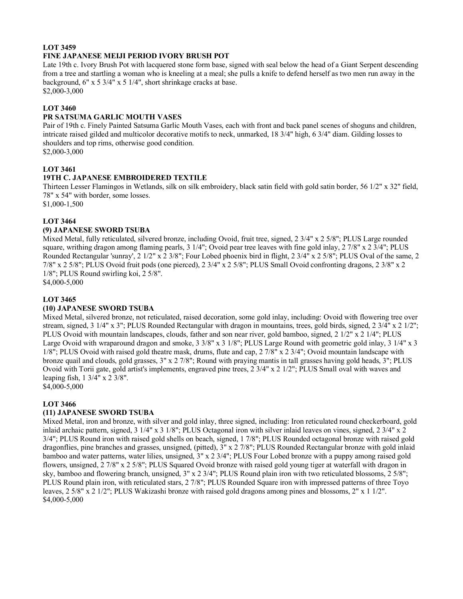#### **LOT 3459 FINE JAPANESE MEIJI PERIOD IVORY BRUSH POT**

Late 19th c. Ivory Brush Pot with lacquered stone form base, signed with seal below the head of a Giant Serpent descending from a tree and startling a woman who is kneeling at a meal; she pulls a knife to defend herself as two men run away in the background, 6" x 5 3/4" x 5 1/4", short shrinkage cracks at base. \$2,000-3,000

#### **LOT 3460**

#### **PR SATSUMA GARLIC MOUTH VASES**

Pair of 19th c. Finely Painted Satsuma Garlic Mouth Vases, each with front and back panel scenes of shoguns and children, intricate raised gilded and multicolor decorative motifs to neck, unmarked, 18 3/4" high, 6 3/4" diam. Gilding losses to shoulders and top rims, otherwise good condition. \$2,000-3,000

#### **LOT 3461**

#### **19TH C. JAPANESE EMBROIDERED TEXTILE**

Thirteen Lesser Flamingos in Wetlands, silk on silk embroidery, black satin field with gold satin border, 56 1/2" x 32" field, 78" x 54" with border, some losses.

\$1,000-1,500

#### **LOT 3464**

#### **(9) JAPANESE SWORD TSUBA**

Mixed Metal, fully reticulated, silvered bronze, including Ovoid, fruit tree, signed, 2 3/4" x 2 5/8"; PLUS Large rounded square, writhing dragon among flaming pearls, 3 1/4"; Ovoid pear tree leaves with fine gold inlay, 2 7/8" x 2 3/4"; PLUS Rounded Rectangular 'sunray', 2 1/2" x 2 3/8"; Four Lobed phoenix bird in flight, 2 3/4" x 2 5/8"; PLUS Oval of the same, 2 7/8" x 2 5/8"; PLUS Ovoid fruit pods (one pierced), 2 3/4" x 2 5/8"; PLUS Small Ovoid confronting dragons, 2 3/8" x 2 1/8"; PLUS Round swirling koi, 2 5/8". \$4,000-5,000

# **LOT 3465**

#### **(10) JAPANESE SWORD TSUBA**

Mixed Metal, silvered bronze, not reticulated, raised decoration, some gold inlay, including: Ovoid with flowering tree over stream, signed, 3 1/4" x 3"; PLUS Rounded Rectangular with dragon in mountains, trees, gold birds, signed, 2 3/4" x 2 1/2"; PLUS Ovoid with mountain landscapes, clouds, father and son near river, gold bamboo, signed, 2 1/2" x 2 1/4"; PLUS Large Ovoid with wraparound dragon and smoke, 3 3/8" x 3 1/8"; PLUS Large Round with geometric gold inlay, 3 1/4" x 3 1/8"; PLUS Ovoid with raised gold theatre mask, drums, flute and cap, 2 7/8" x 2 3/4"; Ovoid mountain landscape with bronze quail and clouds, gold grasses, 3" x 2 7/8"; Round with praying mantis in tall grasses having gold heads, 3"; PLUS Ovoid with Torii gate, gold artist's implements, engraved pine trees, 2 3/4" x 2 1/2"; PLUS Small oval with waves and leaping fish, 1 3/4" x 2 3/8".

\$4,000-5,000

#### **LOT 3466**

#### **(11) JAPANESE SWORD TSUBA**

Mixed Metal, iron and bronze, with silver and gold inlay, three signed, including: Iron reticulated round checkerboard, gold inlaid archaic pattern, signed, 3 1/4" x 3 1/8"; PLUS Octagonal iron with silver inlaid leaves on vines, signed, 2 3/4" x 2 3/4"; PLUS Round iron with raised gold shells on beach, signed, 1 7/8"; PLUS Rounded octagonal bronze with raised gold dragonflies, pine branches and grasses, unsigned, (pitted), 3" x 2 7/8"; PLUS Rounded Rectangular bronze with gold inlaid bamboo and water patterns, water lilies, unsigned, 3" x 2 3/4"; PLUS Four Lobed bronze with a puppy among raised gold flowers, unsigned, 2 7/8" x 2 5/8"; PLUS Squared Ovoid bronze with raised gold young tiger at waterfall with dragon in sky, bamboo and flowering branch, unsigned, 3" x 2 3/4"; PLUS Round plain iron with two reticulated blossoms, 2 5/8"; PLUS Round plain iron, with reticulated stars, 2 7/8"; PLUS Rounded Square iron with impressed patterns of three Toyo leaves, 2 5/8" x 2 1/2"; PLUS Wakizashi bronze with raised gold dragons among pines and blossoms, 2" x 1 1/2". \$4,000-5,000